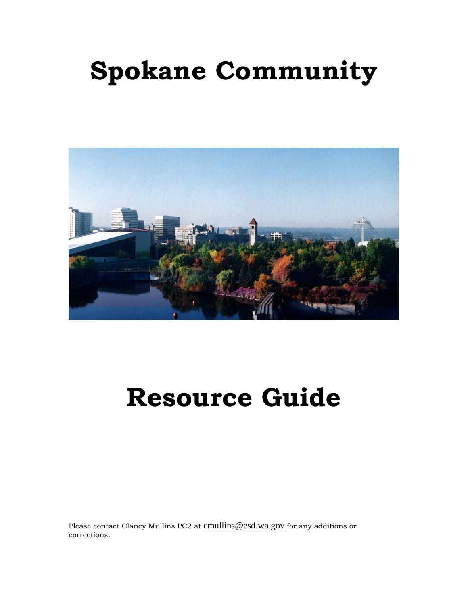# **Spokane Community**



# **Resource Guide**

Please contact Clancy Mullins PC2 at cmullins@esd.wa.gov for any additions or corrections.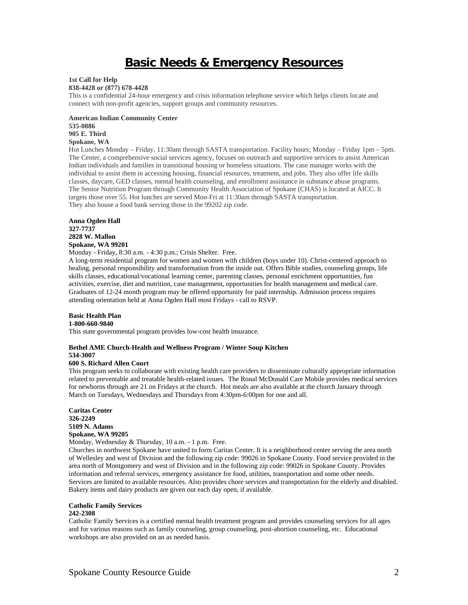# **Basic Needs & Emergency Resources**

**1st Call for Help**

**838-4428 or (877) 678-4428**

This is a confidential 24-hour emergency and crisis information telephone service which helps clients locate and connect with non-profit agencies, support groups and community resources.

**American Indian Community Center 535-0886 905 E. Third Spokane, WA** 

Hot Lunches Monday – Friday, 11:30am through SASTA transportation. Facility hours; Monday – Friday 1pm – 5pm. The Center, a comprehensive social services agency, focuses on outreach and supportive services to assist American Indian individuals and families in transitional housing or homeless situations. The case manager works with the individual to assist them in accessing housing, financial resources, treatment, and jobs. They also offer life skills classes, daycare, GED classes, mental health counseling, and enrollment assistance in substance abuse programs. The Senior Nutrition Program through Community Health Association of Spokane (CHAS) is located at AICC. It targets those over 55. Hot lunches are served Mon-Fri at 11:30am through SASTA transportation. They also house a food bank serving those in the 99202 zip code.

**Anna Ogden Hall 327-7737 2828 W. Mallon Spokane, WA 99201** 

Monday - Friday, 8:30 a.m. - 4:30 p.m.; Crisis Shelter. Free.

A long-term residential program for women and women with children (boys under 10). Christ-centered approach to healing, personal responsibility and transformation from the inside out. Offers Bible studies, counseling groups, life skills classes, educational/vocational learning center, parenting classes, personal enrichment opportunities, fun activities, exercise, diet and nutrition, case management, opportunities for health management and medical care. Graduates of 12-24 month program may be offered opportunity for paid internship. Admission process requires attending orientation held at Anna Ogden Hall most Fridays - call to RSVP.

**Basic Health Plan** 

**1-800-660-9840** 

This state governmental program provides low-cost health insurance.

# **Bethel AME Church-Health and Wellness Program / Winter Soup Kitchen 534-3007**

#### **600 S. Richard Allen Court**

This program seeks to collaborate with existing health care providers to disseminate culturally appropriate information related to preventable and treatable health-related issues. The Ronal McDonald Care Mobile provides medical services for newborns through are 21 on Fridays at the church. Hot meals are also available at the church January through March on Tuesdays, Wednesdays and Thursdays from 4:30pm-6:00pm for one and all.

**Caritas Center 326-2249 5109 N. Adams Spokane, WA 99205** 

Monday, Wednesday & Thursday, 10 a.m. - 1 p.m. Free.

Churches in northwest Spokane have united to form Caritas Center. It is a neighborhood center serving the area north of Wellesley and west of Division and the following zip code: 99026 in Spokane County. Food service provided in the area north of Montgomery and west of Division and in the following zip code: 99026 in Spokane County. Provides information and referral services, emergency assistance for food, utilities, transportation and some other needs. Services are limited to available resources. Also provides chore services and transportation for the elderly and disabled. Bakery items and dairy products are given out each day open, if available.

#### **Catholic Family Services 242-2308**

Catholic Family Services is a certified mental health treatment program and provides counseling services for all ages and for various reasons such as family counseling, group counseling, post-abortion counseling, etc. Educational workshops are also provided on an as needed basis.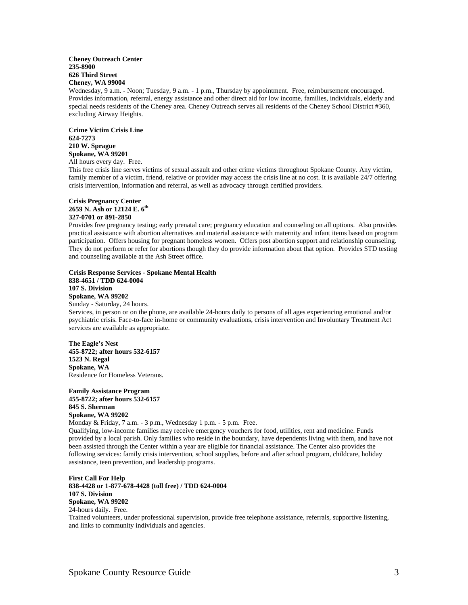#### **Cheney Outreach Center 235-8900 626 Third Street Cheney, WA 99004**

Wednesday, 9 a.m. - Noon; Tuesday, 9 a.m. - 1 p.m., Thursday by appointment. Free, reimbursement encouraged. Provides information, referral, energy assistance and other direct aid for low income, families, individuals, elderly and special needs residents of the Cheney area. Cheney Outreach serves all residents of the Cheney School District #360, excluding Airway Heights.

**Crime Victim Crisis Line 624-7273 210 W. Sprague Spokane, WA 99201**  All hours every day. Free.

This free crisis line serves victims of sexual assault and other crime victims throughout Spokane County. Any victim, family member of a victim, friend, relative or provider may access the crisis line at no cost. It is available 24/7 offering crisis intervention, information and referral, as well as advocacy through certified providers.

#### **Crisis Pregnancy Center**  2659 N. Ash or 12124 E. 6<sup>th</sup> **327-0701 or 891-2850**

Provides free pregnancy testing; early prenatal care; pregnancy education and counseling on all options. Also provides practical assistance with abortion alternatives and material assistance with maternity and infant items based on program participation. Offers housing for pregnant homeless women. Offers post abortion support and relationship counseling. They do not perform or refer for abortions though they do provide information about that option. Provides STD testing and counseling available at the Ash Street office.

**Crisis Response Services - Spokane Mental Health 838-4651 / TDD 624-0004 107 S. Division Spokane, WA 99202**  Sunday - Saturday, 24 hours. Services, in person or on the phone, are available 24-hours daily to persons of all ages experiencing emotional and/or psychiatric crisis. Face-to-face in-home or community evaluations, crisis intervention and Involuntary Treatment Act services are available as appropriate. **The Eagle's Nest** 

**455-8722; after hours 532-6157 1523 N. Regal Spokane, WA**  Residence for Homeless Veterans.

**Family Assistance Program 455-8722; after hours 532-6157 845 S. Sherman Spokane, WA 99202** 

Monday & Friday, 7 a.m. - 3 p.m., Wednesday 1 p.m. - 5 p.m. Free. Qualifying, low-income families may receive emergency vouchers for food, utilities, rent and medicine. Funds provided by a local parish. Only families who reside in the boundary, have dependents living with them, and have not been assisted through the Center within a year are eligible for financial assistance. The Center also provides the following services: family crisis intervention, school supplies, before and after school program, childcare, holiday assistance, teen prevention, and leadership programs.

**First Call For Help 838-4428 or 1-877-678-4428 (toll free) / TDD 624-0004 107 S. Division Spokane, WA 99202**  24-hours daily. Free. Trained volunteers, under professional supervision, provide free telephone assistance, referrals, supportive listening, and links to community individuals and agencies.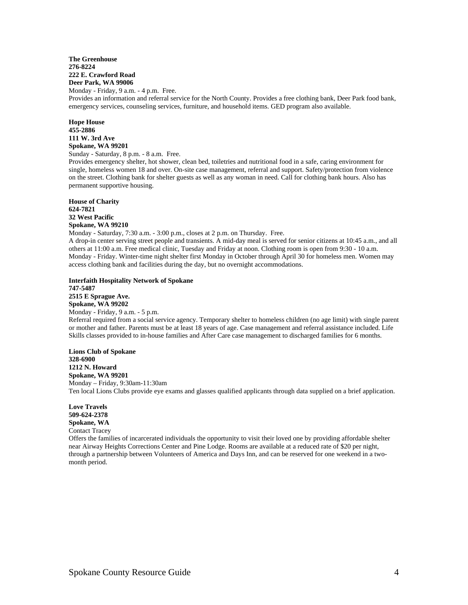#### **The Greenhouse 276-8224 222 E. Crawford Road Deer Park, WA 99006**

Monday - Friday, 9 a.m. - 4 p.m. Free. Provides an information and referral service for the North County. Provides a free clothing bank, Deer Park food bank, emergency services, counseling services, furniture, and household items. GED program also available.

**Hope House 455-2886 111 W. 3rd Ave Spokane, WA 99201** Sunday - Saturday, 8 p.m. - 8 a.m. Free.

Provides emergency shelter, hot shower, clean bed, toiletries and nutritional food in a safe, caring environment for single, homeless women 18 and over. On-site case management, referral and support. Safety/protection from violence on the street. Clothing bank for shelter guests as well as any woman in need. Call for clothing bank hours. Also has permanent supportive housing.

**House of Charity 624-7821 32 West Pacific Spokane, WA 99210** 

Monday - Saturday, 7:30 a.m. - 3:00 p.m., closes at 2 p.m. on Thursday. Free.

A drop-in center serving street people and transients. A mid-day meal is served for senior citizens at 10:45 a.m., and all others at 11:00 a.m. Free medical clinic, Tuesday and Friday at noon. Clothing room is open from 9:30 - 10 a.m. Monday - Friday. Winter-time night shelter first Monday in October through April 30 for homeless men. Women may access clothing bank and facilities during the day, but no overnight accommodations.

**Interfaith Hospitality Network of Spokane 747-5487 2515 E Sprague Ave. Spokane, WA 99202**  Monday - Friday, 9 a.m. - 5 p.m. Referral required from a social service agency. Temporary shelter to homeless children (no age limit) with single parent or mother and father. Parents must be at least 18 years of age. Case management and referral assistance included. Life Skills classes provided to in-house families and After Care case management to discharged families for 6 months.

**Lions Club of Spokane 328-6900 1212 N. Howard Spokane, WA 99201**  Monday – Friday, 9:30am-11:30am Ten local Lions Clubs provide eye exams and glasses qualified applicants through data supplied on a brief application.

**Love Travels 509-624-2378 Spokane, WA**  Contact Tracey

Offers the families of incarcerated individuals the opportunity to visit their loved one by providing affordable shelter near Airway Heights Corrections Center and Pine Lodge. Rooms are available at a reduced rate of \$20 per night, through a partnership between Volunteers of America and Days Inn, and can be reserved for one weekend in a twomonth period.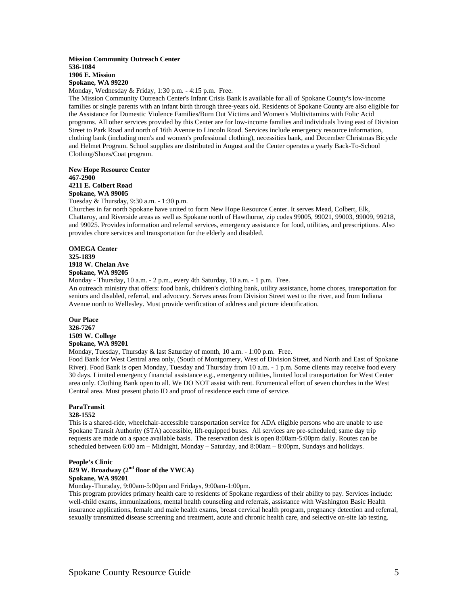#### **Mission Community Outreach Center 536-1084 1906 E. Mission Spokane, WA 99220**

Monday, Wednesday & Friday, 1:30 p.m. - 4:15 p.m. Free.

The Mission Community Outreach Center's Infant Crisis Bank is available for all of Spokane County's low-income families or single parents with an infant birth through three-years old. Residents of Spokane County are also eligible for the Assistance for Domestic Violence Families/Burn Out Victims and Women's Multivitamins with Folic Acid programs. All other services provided by this Center are for low-income families and individuals living east of Division Street to Park Road and north of 16th Avenue to Lincoln Road. Services include emergency resource information, clothing bank (including men's and women's professional clothing), necessities bank, and December Christmas Bicycle and Helmet Program. School supplies are distributed in August and the Center operates a yearly Back-To-School Clothing/Shoes/Coat program.

**New Hope Resource Center 467-2900 4211 E. Colbert Road Spokane, WA 99005** 

Tuesday & Thursday, 9:30 a.m. - 1:30 p.m.

Churches in far north Spokane have united to form New Hope Resource Center. It serves Mead, Colbert, Elk, Chattaroy, and Riverside areas as well as Spokane north of Hawthorne, zip codes 99005, 99021, 99003, 99009, 99218, and 99025. Provides information and referral services, emergency assistance for food, utilities, and prescriptions. Also provides chore services and transportation for the elderly and disabled.

**OMEGA Center 325-1839 1918 W. Chelan Ave Spokane, WA 99205** 

Monday - Thursday, 10 a.m. - 2 p.m., every 4th Saturday, 10 a.m. - 1 p.m. Free.

An outreach ministry that offers: food bank, children's clothing bank, utility assistance, home chores, transportation for seniors and disabled, referral, and advocacy. Serves areas from Division Street west to the river, and from Indiana Avenue north to Wellesley. Must provide verification of address and picture identification.

**Our Place 326-7267 1509 W. College Spokane, WA 99201** 

Monday, Tuesday, Thursday & last Saturday of month, 10 a.m. - 1:00 p.m. Free.

Food Bank for West Central area only, (South of Montgomery, West of Division Street, and North and East of Spokane River). Food Bank is open Monday, Tuesday and Thursday from 10 a.m. - 1 p.m. Some clients may receive food every 30 days. Limited emergency financial assistance e.g., emergency utilities, limited local transportation for West Center area only. Clothing Bank open to all. We DO NOT assist with rent. Ecumenical effort of seven churches in the West Central area. Must present photo ID and proof of residence each time of service.

# **ParaTransit**

#### **328-1552**

This is a shared-ride, wheelchair-accessible transportation service for ADA eligible persons who are unable to use Spokane Transit Authority (STA) accessible, lift-equipped buses. All services are pre-scheduled; same day trip requests are made on a space available basis. The reservation desk is open 8:00am-5:00pm daily. Routes can be scheduled between 6:00 am – Midnight, Monday – Saturday, and 8:00am – 8:00pm, Sundays and holidays.

#### **People's Clinic 829 W. Broadway (2nd floor of the YWCA) Spokane, WA 99201**

Monday-Thursday, 9:00am-5:00pm and Fridays, 9:00am-1:00pm.

This program provides primary health care to residents of Spokane regardless of their ability to pay. Services include: well-child exams, immunizations, mental health counseling and referrals, assistance with Washington Basic Health insurance applications, female and male health exams, breast cervical health program, pregnancy detection and referral, sexually transmitted disease screening and treatment, acute and chronic health care, and selective on-site lab testing.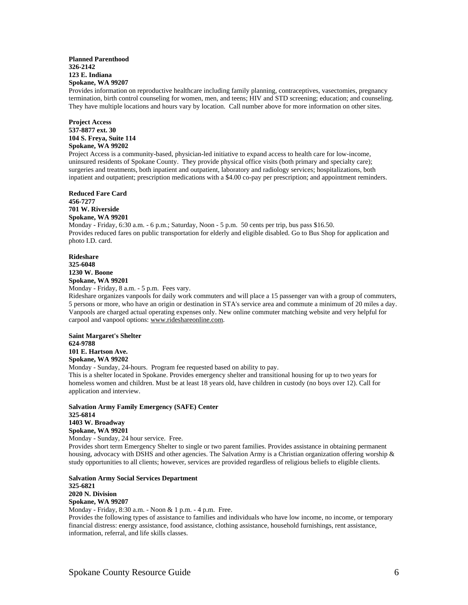#### **Planned Parenthood 326-2142 123 E. Indiana Spokane, WA 99207**

Provides information on reproductive healthcare including family planning, contraceptives, vasectomies, pregnancy termination, birth control counseling for women, men, and teens; HIV and STD screening; education; and counseling. They have multiple locations and hours vary by location. Call number above for more information on other sites.

**Project Access 537-8877 ext. 30 104 S. Freya, Suite 114 Spokane, WA 99202** 

Project Access is a community-based, physician-led initiative to expand access to health care for low-income, uninsured residents of Spokane County. They provide physical office visits (both primary and specialty care); surgeries and treatments, both inpatient and outpatient, laboratory and radiology services; hospitalizations, both inpatient and outpatient; prescription medications with a \$4.00 co-pay per prescription; and appointment reminders.

**Reduced Fare Card 456-7277 701 W. Riverside Spokane, WA 99201**  Monday - Friday, 6:30 a.m. - 6 p.m.; Saturday, Noon - 5 p.m. 50 cents per trip, bus pass \$16.50. Provides reduced fares on public transportation for elderly and eligible disabled. Go to Bus Shop for application and photo I.D. card.

**Rideshare 325-6048 1230 W. Boone Spokane, WA 99201**  Monday - Friday, 8 a.m. - 5 p.m. Fees vary.

Rideshare organizes vanpools for daily work commuters and will place a 15 passenger van with a group of commuters, 5 persons or more, who have an origin or destination in STA's service area and commute a minimum of 20 miles a day. Vanpools are charged actual operating expenses only. New online commuter matching website and very helpful for carpool and vanpool options: www.rideshareonline.com.

**Saint Margaret's Shelter 624-9788 101 E. Hartson Ave. Spokane, WA 99202** 

Monday - Sunday, 24-hours. Program fee requested based on ability to pay.

This is a shelter located in Spokane. Provides emergency shelter and transitional housing for up to two years for homeless women and children. Must be at least 18 years old, have children in custody (no boys over 12). Call for application and interview.

**Salvation Army Family Emergency (SAFE) Center 325-6814 1403 W. Broadway Spokane, WA 99201** 

Monday - Sunday, 24 hour service. Free.

Provides short term Emergency Shelter to single or two parent families. Provides assistance in obtaining permanent housing, advocacy with DSHS and other agencies. The Salvation Army is a Christian organization offering worship & study opportunities to all clients; however, services are provided regardless of religious beliefs to eligible clients.

**Salvation Army Social Services Department 325-6821 2020 N. Division Spokane, WA 99207**  Monday - Friday, 8:30 a.m. - Noon & 1 p.m. - 4 p.m. Free.

Provides the following types of assistance to families and individuals who have low income, no income, or temporary financial distress: energy assistance, food assistance, clothing assistance, household furnishings, rent assistance, information, referral, and life skills classes.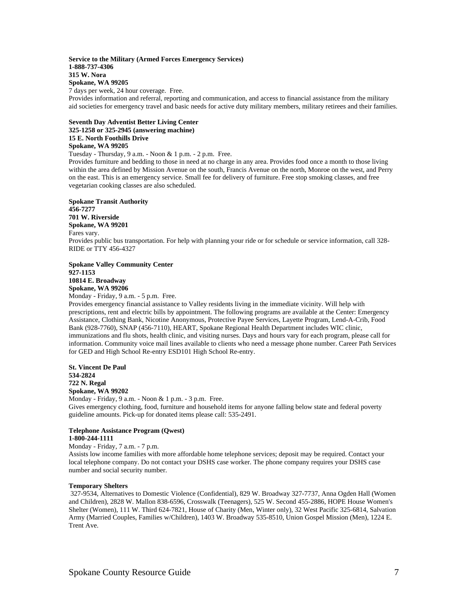#### **Service to the Military (Armed Forces Emergency Services) 1-888-737-4306 315 W. Nora Spokane, WA 99205**  7 days per week, 24 hour coverage. Free.

Provides information and referral, reporting and communication, and access to financial assistance from the military aid societies for emergency travel and basic needs for active duty military members, military retirees and their families.

#### **Seventh Day Adventist Better Living Center 325-1258 or 325-2945 (answering machine) 15 E. North Foothills Drive Spokane, WA 99205**

Tuesday - Thursday, 9 a.m. - Noon & 1 p.m. - 2 p.m. Free.

Provides furniture and bedding to those in need at no charge in any area. Provides food once a month to those living within the area defined by Mission Avenue on the south, Francis Avenue on the north, Monroe on the west, and Perry on the east. This is an emergency service. Small fee for delivery of furniture. Free stop smoking classes, and free vegetarian cooking classes are also scheduled.

**Spokane Transit Authority 456-7277 701 W. Riverside Spokane, WA 99201**  Fares vary. Provides public bus transportation. For help with planning your ride or for schedule or service information, call 328- RIDE or TTY 456-4327

#### **Spokane Valley Community Center 927-1153 10814 E. Broadway Spokane, WA 99206**

Monday - Friday, 9 a.m. - 5 p.m. Free.

Provides emergency financial assistance to Valley residents living in the immediate vicinity. Will help with prescriptions, rent and electric bills by appointment. The following programs are available at the Center: Emergency Assistance, Clothing Bank, Nicotine Anonymous, Protective Payee Services, Layette Program, Lend-A-Crib, Food Bank (928-7760), SNAP (456-7110), HEART, Spokane Regional Health Department includes WIC clinic, immunizations and flu shots, health clinic, and visiting nurses. Days and hours vary for each program, please call for information. Community voice mail lines available to clients who need a message phone number. Career Path Services for GED and High School Re-entry ESD101 High School Re-entry.

#### **St. Vincent De Paul 534-2824 722 N. Regal Spokane, WA 99202**

Monday - Friday, 9 a.m. - Noon & 1 p.m. - 3 p.m. Free. Gives emergency clothing, food, furniture and household items for anyone falling below state and federal poverty guideline amounts. Pick-up for donated items please call: 535-2491.

#### **Telephone Assistance Program (Qwest) 1-800-244-1111**

Monday - Friday, 7 a.m. - 7 p.m.

Assists low income families with more affordable home telephone services; deposit may be required. Contact your local telephone company. Do not contact your DSHS case worker. The phone company requires your DSHS case number and social security number.

#### **Temporary Shelters**

 327-9534, Alternatives to Domestic Violence (Confidential), 829 W. Broadway 327-7737, Anna Ogden Hall (Women and Children), 2828 W. Mallon 838-6596, Crosswalk (Teenagers), 525 W. Second 455-2886, HOPE House Women's Shelter (Women), 111 W. Third 624-7821, House of Charity (Men, Winter only), 32 West Pacific 325-6814, Salvation Army (Married Couples, Families w/Children), 1403 W. Broadway 535-8510, Union Gospel Mission (Men), 1224 E. Trent Ave.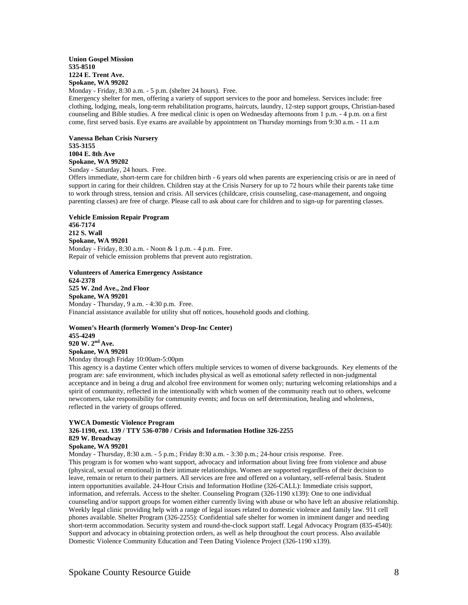#### **Union Gospel Mission 535-8510 1224 E. Trent Ave. Spokane, WA 99202**

Monday - Friday, 8:30 a.m. - 5 p.m. (shelter 24 hours). Free.

Emergency shelter for men, offering a variety of support services to the poor and homeless. Services include: free clothing, lodging, meals, long-term rehabilitation programs, haircuts, laundry, 12-step support groups, Christian-based counseling and Bible studies. A free medical clinic is open on Wednesday afternoons from 1 p.m. - 4 p.m. on a first come, first served basis. Eye exams are available by appointment on Thursday mornings from 9:30 a.m. - 11 a.m

**Vanessa Behan Crisis Nursery 535-3155 1004 E. 8th Ave Spokane, WA 99202**  Sunday - Saturday, 24 hours. Free.

Offers immediate, short-term care for children birth - 6 years old when parents are experiencing crisis or are in need of support in caring for their children. Children stay at the Crisis Nursery for up to 72 hours while their parents take time to work through stress, tension and crisis. All services (childcare, crisis counseling, case-management, and ongoing parenting classes) are free of charge. Please call to ask about care for children and to sign-up for parenting classes.

**Vehicle Emission Repair Program 456-7174 212 S. Wall Spokane, WA 99201**  Monday - Friday, 8:30 a.m. - Noon & 1 p.m. - 4 p.m. Free. Repair of vehicle emission problems that prevent auto registration.

**Volunteers of America Emergency Assistance 624-2378 525 W. 2nd Ave., 2nd Floor Spokane, WA 99201** Monday - Thursday, 9 a.m. - 4:30 p.m. Free. Financial assistance available for utility shut off notices, household goods and clothing.

**Women's Hearth (formerly Women's Drop-Inc Center) 455-4249 920 W. 2nd Ave. Spokane, WA 99201**  Monday through Friday 10:00am-5:00pm

This agency is a daytime Center which offers multiple services to women of diverse backgrounds. Key elements of the program are: safe environment, which includes physical as well as emotional safety reflected in non-judgmental acceptance and in being a drug and alcohol free environment for women only; nurturing welcoming relationships and a spirit of community, reflected in the intentionally with which women of the community reach out to others, welcome newcomers, take responsibility for community events; and focus on self determination, healing and wholeness, reflected in the variety of groups offered.

#### **YWCA Domestic Violence Program**

# **326-1190, ext. 139 / TTY 536-0780 / Crisis and Information Hotline 326-2255 829 W. Broadway**

# **Spokane, WA 99201**

Monday - Thursday, 8:30 a.m. - 5 p.m.; Friday 8:30 a.m. - 3:30 p.m.; 24-hour crisis response. Free.

This program is for women who want support, advocacy and information about living free from violence and abuse (physical, sexual or emotional) in their intimate relationships. Women are supported regardless of their decision to leave, remain or return to their partners. All services are free and offered on a voluntary, self-referral basis. Student intern opportunities available. 24-Hour Crisis and Information Hotline (326-CALL): Immediate crisis support, information, and referrals. Access to the shelter. Counseling Program (326-1190 x139): One to one individual counseling and/or support groups for women either currently living with abuse or who have left an abusive relationship. Weekly legal clinic providing help with a range of legal issues related to domestic violence and family law. 911 cell phones available. Shelter Program (326-2255): Confidential safe shelter for women in imminent danger and needing short-term accommodation. Security system and round-the-clock support staff. Legal Advocacy Program (835-4540): Support and advocacy in obtaining protection orders, as well as help throughout the court process. Also available Domestic Violence Community Education and Teen Dating Violence Project (326-1190 x139).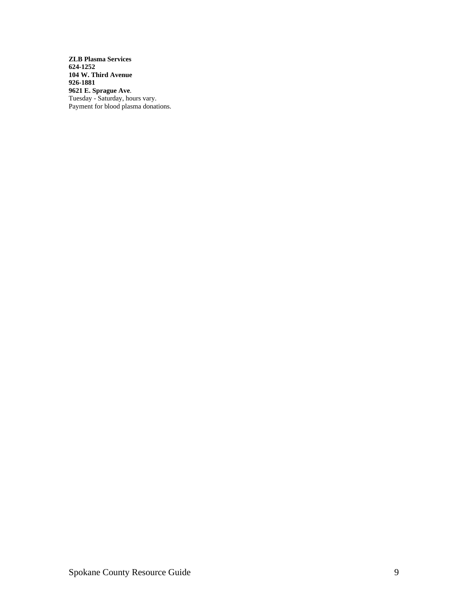**ZLB Plasma Services 624-1252 104 W. Third Avenue 926-1881 9621 E. Sprague Ave**. Tuesday - Saturday, hours vary. Payment for blood plasma donations.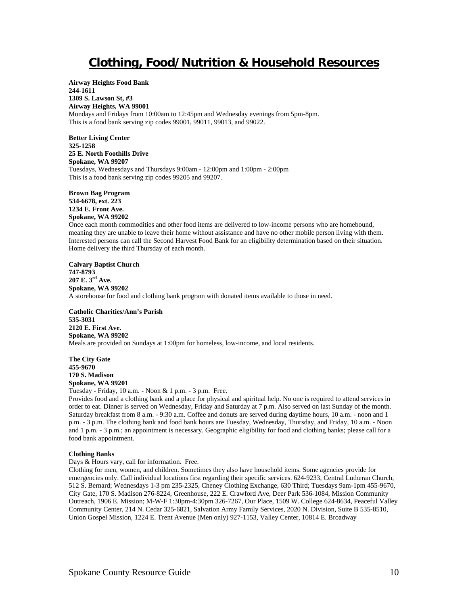# **Clothing, Food/Nutrition & Household Resources**

**Airway Heights Food Bank 244-1611 1309 S. Lawson St, #3 Airway Heights, WA 99001**  Mondays and Fridays from 10:00am to 12:45pm and Wednesday evenings from 5pm-8pm. This is a food bank serving zip codes 99001, 99011, 99013, and 99022.

**Better Living Center 325-1258 25 E. North Foothills Drive Spokane, WA 99207**  Tuesdays, Wednesdays and Thursdays 9:00am - 12:00pm and 1:00pm - 2:00pm This is a food bank serving zip codes 99205 and 99207.

**Brown Bag Program 534-6678, ext. 223 1234 E. Front Ave. Spokane, WA 99202**  Once each month commodities and other food items are delivered to low-income persons who are homebound, meaning they are unable to leave their home without assistance and have no other mobile person living with them. Interested persons can call the Second Harvest Food Bank for an eligibility determination based on their situation. Home delivery the third Thursday of each month.

**Calvary Baptist Church 747-8793 207 E. 3rd Ave. Spokane, WA 99202**  A storehouse for food and clothing bank program with donated items available to those in need.

**Catholic Charities/Ann's Parish 535-3031 2120 E. First Ave. Spokane, WA 99202**  Meals are provided on Sundays at 1:00pm for homeless, low-income, and local residents.

**The City Gate 455-9670 170 S. Madison Spokane, WA 99201** 

Tuesday - Friday, 10 a.m. - Noon & 1 p.m. - 3 p.m. Free.

Provides food and a clothing bank and a place for physical and spiritual help. No one is required to attend services in order to eat. Dinner is served on Wednesday, Friday and Saturday at 7 p.m. Also served on last Sunday of the month. Saturday breakfast from 8 a.m. - 9:30 a.m. Coffee and donuts are served during daytime hours, 10 a.m. - noon and 1 p.m. - 3 p.m. The clothing bank and food bank hours are Tuesday, Wednesday, Thursday, and Friday, 10 a.m. - Noon and 1 p.m. - 3 p.m.; an appointment is necessary. Geographic eligibility for food and clothing banks; please call for a food bank appointment.

#### **Clothing Banks**

Days & Hours vary, call for information. Free.

Clothing for men, women, and children. Sometimes they also have household items. Some agencies provide for emergencies only. Call individual locations first regarding their specific services. 624-9233, Central Lutheran Church, 512 S. Bernard; Wednesdays 1-3 pm 235-2325, Cheney Clothing Exchange, 630 Third; Tuesdays 9am-1pm 455-9670, City Gate, 170 S. Madison 276-8224, Greenhouse, 222 E. Crawford Ave, Deer Park 536-1084, Mission Community Outreach, 1906 E. Mission; M-W-F 1:30pm-4:30pm 326-7267, Our Place, 1509 W. College 624-8634, Peaceful Valley Community Center, 214 N. Cedar 325-6821, Salvation Army Family Services, 2020 N. Division, Suite B 535-8510, Union Gospel Mission, 1224 E. Trent Avenue (Men only) 927-1153, Valley Center, 10814 E. Broadway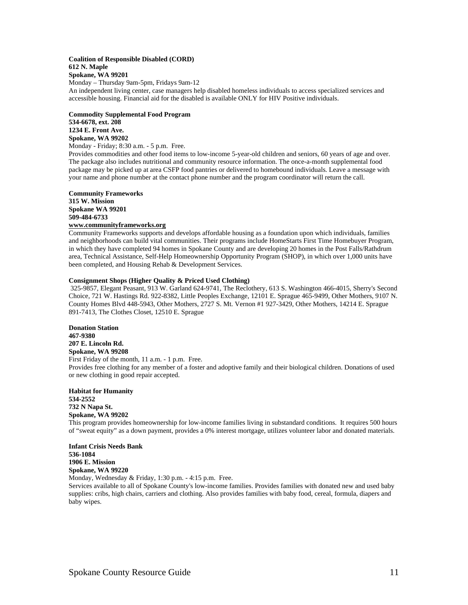#### **Coalition of Responsible Disabled (CORD) 612 N. Maple Spokane, WA 99201**  Monday – Thursday 9am-5pm, Fridays 9am-12

An independent living center, case managers help disabled homeless individuals to access specialized services and accessible housing. Financial aid for the disabled is available ONLY for HIV Positive individuals.

#### **Commodity Supplemental Food Program 534-6678, ext. 208 1234 E. Front Ave. Spokane, WA 99202**

Monday - Friday; 8:30 a.m. - 5 p.m. Free.

Provides commodities and other food items to low-income 5-year-old children and seniors, 60 years of age and over. The package also includes nutritional and community resource information. The once-a-month supplemental food package may be picked up at area CSFP food pantries or delivered to homebound individuals. Leave a message with your name and phone number at the contact phone number and the program coordinator will return the call.

**Community Frameworks 315 W. Mission Spokane WA 99201 509-484-6733** 

#### **www.communityframeworks.org**

Community Frameworks supports and develops affordable housing as a foundation upon which individuals, families and neighborhoods can build vital communities. Their programs include HomeStarts First Time Homebuyer Program, in which they have completed 94 homes in Spokane County and are developing 20 homes in the Post Falls/Rathdrum area, Technical Assistance, Self-Help Homeownership Opportunity Program (SHOP), in which over 1,000 units have been completed, and Housing Rehab & Development Services.

## **Consignment Shops (Higher Quality & Priced Used Clothing)**

 325-9857, Elegant Peasant, 913 W. Garland 624-9741, The Reclothery, 613 S. Washington 466-4015, Sherry's Second Choice, 721 W. Hastings Rd. 922-8382, Little Peoples Exchange, 12101 E. Sprague 465-9499, Other Mothers, 9107 N. County Homes Blvd 448-5943, Other Mothers, 2727 S. Mt. Vernon #1 927-3429, Other Mothers, 14214 E. Sprague 891-7413, The Clothes Closet, 12510 E. Sprague

**Donation Station 467-9380 207 E. Lincoln Rd. Spokane, WA 99208**  First Friday of the month, 11 a.m. - 1 p.m. Free. Provides free clothing for any member of a foster and adoptive family and their biological children. Donations of used or new clothing in good repair accepted.

**Habitat for Humanity 534-2552 732 N Napa St. Spokane, WA 99202** 

This program provides homeownership for low-income families living in substandard conditions. It requires 500 hours of "sweat equity" as a down payment, provides a 0% interest mortgage, utilizes volunteer labor and donated materials.

**Infant Crisis Needs Bank 536-1084 1906 E. Mission Spokane, WA 99220** 

Monday, Wednesday & Friday, 1:30 p.m. - 4:15 p.m. Free.

Services available to all of Spokane County's low-income families. Provides families with donated new and used baby supplies: cribs, high chairs, carriers and clothing. Also provides families with baby food, cereal, formula, diapers and baby wipes.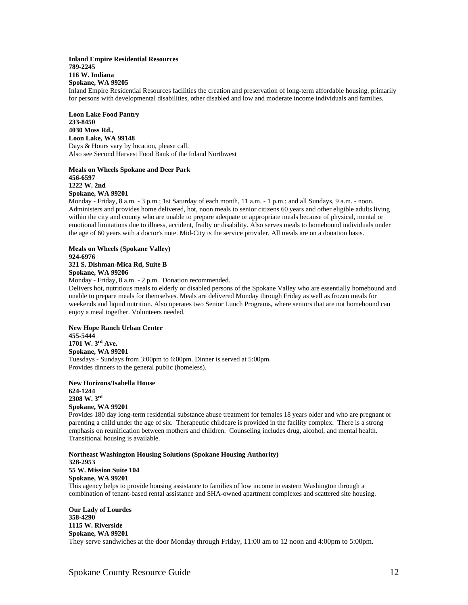#### **Inland Empire Residential Resources 789-2245 116 W. Indiana Spokane, WA 99205**

Inland Empire Residential Resources facilities the creation and preservation of long-term affordable housing, primarily for persons with developmental disabilities, other disabled and low and moderate income individuals and families.

**Loon Lake Food Pantry 233-8450 4030 Moss Rd., Loon Lake, WA 99148**  Days & Hours vary by location, please call. Also see Second Harvest Food Bank of the Inland Northwest

**Meals on Wheels Spokane and Deer Park 456-6597 1222 W. 2nd Spokane, WA 99201** 

Monday - Friday, 8 a.m. - 3 p.m.; 1st Saturday of each month, 11 a.m. - 1 p.m.; and all Sundays, 9 a.m. - noon. Administers and provides home delivered, hot, noon meals to senior citizens 60 years and other eligible adults living within the city and county who are unable to prepare adequate or appropriate meals because of physical, mental or emotional limitations due to illness, accident, frailty or disability. Also serves meals to homebound individuals under the age of 60 years with a doctor's note. Mid-City is the service provider. All meals are on a donation basis.

**Meals on Wheels (Spokane Valley) 924-6976 321 S. Dishman-Mica Rd, Suite B Spokane, WA 99206**

Monday - Friday, 8 a.m. - 2 p.m. Donation recommended.

Delivers hot, nutritious meals to elderly or disabled persons of the Spokane Valley who are essentially homebound and unable to prepare meals for themselves. Meals are delivered Monday through Friday as well as frozen meals for weekends and liquid nutrition. Also operates two Senior Lunch Programs, where seniors that are not homebound can enjoy a meal together. Volunteers needed.

**New Hope Ranch Urban Center 455-5444 1701 W. 3rd Ave. Spokane, WA 99201**  Tuesdays - Sundays from 3:00pm to 6:00pm. Dinner is served at 5:00pm. Provides dinners to the general public (homeless).

**New Horizons/Isabella House 624-1244 2308 W. 3rd Spokane, WA 99201**

Provides 180 day long-term residential substance abuse treatment for females 18 years older and who are pregnant or parenting a child under the age of six. Therapeutic childcare is provided in the facility complex. There is a strong emphasis on reunification between mothers and children. Counseling includes drug, alcohol, and mental health. Transitional housing is available.

**Northeast Washington Housing Solutions (Spokane Housing Authority) 328-2953 55 W. Mission Suite 104 Spokane, WA 99201**  This agency helps to provide housing assistance to families of low income in eastern Washington through a combination of tenant-based rental assistance and SHA-owned apartment complexes and scattered site housing.

**Our Lady of Lourdes 358-4290 1115 W. Riverside Spokane, WA 99201**  They serve sandwiches at the door Monday through Friday, 11:00 am to 12 noon and 4:00pm to 5:00pm.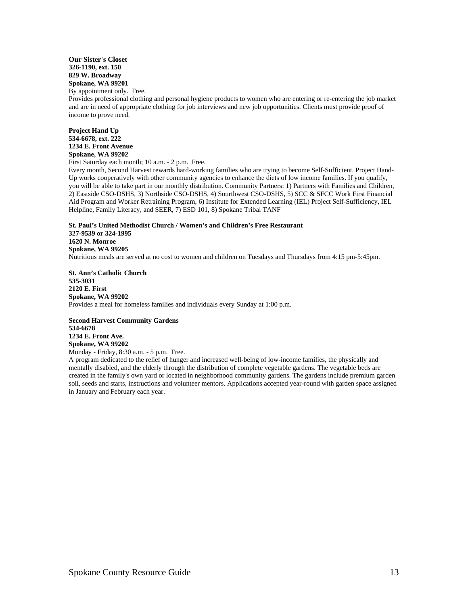# **Our Sister's Closet 326-1190, ext. 150 829 W. Broadway Spokane, WA 99201**

By appointment only. Free.

Provides professional clothing and personal hygiene products to women who are entering or re-entering the job market and are in need of appropriate clothing for job interviews and new job opportunities. Clients must provide proof of income to prove need.

**Project Hand Up 534-6678, ext. 222 1234 E. Front Avenue Spokane, WA 99202** 

First Saturday each month; 10 a.m. - 2 p.m. Free.

Every month, Second Harvest rewards hard-working families who are trying to become Self-Sufficient. Project Hand-Up works cooperatively with other community agencies to enhance the diets of low income families. If you qualify, you will be able to take part in our monthly distribution. Community Partners: 1) Partners with Families and Children, 2) Eastside CSO-DSHS, 3) Northside CSO-DSHS, 4) Sourthwest CSO-DSHS, 5) SCC & SFCC Work First Financial Aid Program and Worker Retraining Program, 6) Institute for Extended Learning (IEL) Project Self-Sufficiency, IEL Helpline, Family Literacy, and SEER, 7) ESD 101, 8) Spokane Tribal TANF

**St. Paul's United Methodist Church / Women's and Children's Free Restaurant 327-9539 or 324-1995 1620 N. Monroe Spokane, WA 99205** Nutritious meals are served at no cost to women and children on Tuesdays and Thursdays from 4:15 pm-5:45pm.

**St. Ann's Catholic Church 535-3031 2120 E. First Spokane, WA 99202**  Provides a meal for homeless families and individuals every Sunday at 1:00 p.m.

**Second Harvest Community Gardens 534-6678 1234 E. Front Ave. Spokane, WA 99202**  Monday - Friday, 8:30 a.m. - 5 p.m. Free.

A program dedicated to the relief of hunger and increased well-being of low-income families, the physically and mentally disabled, and the elderly through the distribution of complete vegetable gardens. The vegetable beds are created in the family's own yard or located in neighborhood community gardens. The gardens include premium garden soil, seeds and starts, instructions and volunteer mentors. Applications accepted year-round with garden space assigned in January and February each year.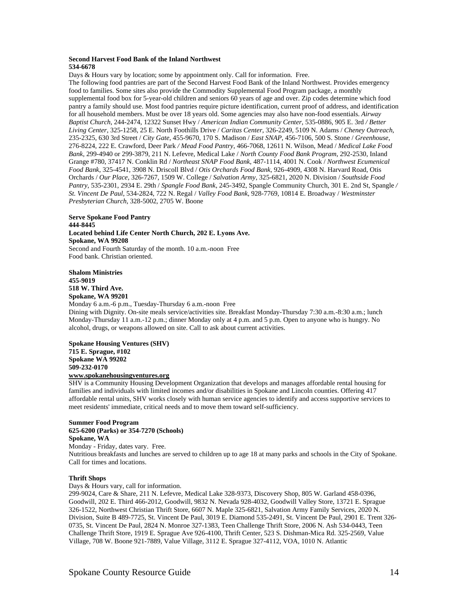#### **Second Harvest Food Bank of the Inland Northwest 534-6678**

Days & Hours vary by location; some by appointment only. Call for information. Free. The following food pantries are part of the Second Harvest Food Bank of the Inland Northwest. Provides emergency food to families. Some sites also provide the Commodity Supplemental Food Program package, a monthly supplemental food box for 5-year-old children and seniors 60 years of age and over. Zip codes determine which food pantry a family should use. Most food pantries require picture identification, current proof of address, and identification for all household members. Must be over 18 years old. Some agencies may also have non-food essentials. *Airway Baptist Church*, 244-2474, 12322 Sunset Hwy / *American Indian Community Center*, 535-0886, 905 E. 3rd */ Better Living Center*, 325-1258, 25 E. North Foothills Drive / *Caritas Center*, 326-2249, 5109 N. Adams / *Cheney Outreach*, 235-2325, 630 3rd Street / *City Gate*, 455-9670, 170 S. Madison / *East SNAP*, 456-7106, 500 S. Stone / *Greenhouse*, 276-8224, 222 E. Crawford, Deer Park */ Mead Food Pantry*, 466-7068, 12611 N. Wilson, Mead / *Medical Lake Food Bank*, 299-4940 or 299-3879, 211 N. Lefevre, Medical Lake / *North County Food Bank Program*, 292-2530, Inland Grange #780, 37417 N. Conklin Rd / *Northeast SNAP Food Bank*, 487-1114, 4001 N. Cook / *Northwest Ecumenical Food Bank*, 325-4541, 3908 N. Driscoll Blvd / *Otis Orchards Food Bank*, 926-4909, 4308 N. Harvard Road, Otis Orchards / *Our Place*, 326-7267, 1509 W. College / *Salvation Army*, 325-6821, 2020 N. Division / *Southside Food Pantry*, 535-2301, 2934 E. 29th / *Spangle Food Bank*, 245-3492, Spangle Community Church, 301 E. 2nd St, Spangle */ St. Vincent De Paul*, 534-2824, 722 N. Regal / *Valley Food Bank*, 928-7769, 10814 E. Broadway / *Westminster Presbyterian Church*, 328-5002, 2705 W. Boone

#### **Serve Spokane Food Pantry 444-8445 Located behind Life Center North Church, 202 E. Lyons Ave. Spokane, WA 99208**  Second and Fourth Saturday of the month. 10 a.m.-noon Free Food bank. Christian oriented.

**Shalom Ministries 455-9019 518 W. Third Ave. Spokane, WA 99201** 

Monday 6 a.m.-6 p.m., Tuesday-Thursday 6 a.m.-noon Free Dining with Dignity. On-site meals service/activities site. Breakfast Monday-Thursday 7:30 a.m.-8:30 a.m.; lunch Monday-Thursday 11 a.m.-12 p.m.; dinner Monday only at 4 p.m. and 5 p.m. Open to anyone who is hungry. No alcohol, drugs, or weapons allowed on site. Call to ask about current activities.

**Spokane Housing Ventures (SHV) 715 E. Sprague, #102 Spokane WA 99202 509-232-0170 www.spokanehousingventures.org**

SHV is a Community Housing Development Organization that develops and manages affordable rental housing for families and individuals with limited incomes and/or disabilities in Spokane and Lincoln counties. Offering 417 affordable rental units, SHV works closely with human service agencies to identify and access supportive services to meet residents' immediate, critical needs and to move them toward self-sufficiency.

# **Summer Food Program 625-6200 (Parks) or 354-7270 (Schools) Spokane, WA**  Monday - Friday, dates vary. Free.

Nutritious breakfasts and lunches are served to children up to age 18 at many parks and schools in the City of Spokane. Call for times and locations.

# **Thrift Shops**

Days & Hours vary, call for information.

299-9024, Care & Share, 211 N. Lefevre, Medical Lake 328-9373, Discovery Shop, 805 W. Garland 458-0396, Goodwill, 202 E. Third 466-2012, Goodwill, 9832 N. Nevada 928-4032, Goodwill Valley Store, 13721 E. Sprague 326-1522, Northwest Christian Thrift Store, 6607 N. Maple 325-6821, Salvation Army Family Services, 2020 N. Division, Suite B 489-7725, St. Vincent De Paul, 3019 E. Diamond 535-2491, St. Vincent De Paul, 2901 E. Trent 326- 0735, St. Vincent De Paul, 2824 N. Monroe 327-1383, Teen Challenge Thrift Store, 2006 N. Ash 534-0443, Teen Challenge Thrift Store, 1919 E. Sprague Ave 926-4100, Thrift Center, 523 S. Dishman-Mica Rd. 325-2569, Value Village, 708 W. Boone 921-7889, Value Village, 3112 E. Sprague 327-4112, VOA, 1010 N. Atlantic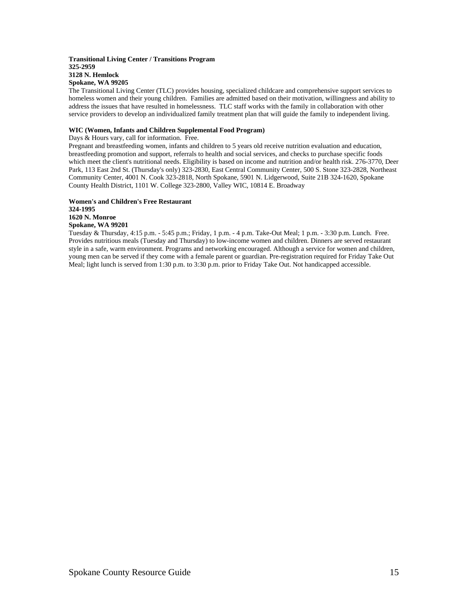#### **Transitional Living Center / Transitions Program 325-2959 3128 N. Hemlock Spokane, WA 99205**

The Transitional Living Center (TLC) provides housing, specialized childcare and comprehensive support services to homeless women and their young children. Families are admitted based on their motivation, willingness and ability to address the issues that have resulted in homelessness. TLC staff works with the family in collaboration with other service providers to develop an individualized family treatment plan that will guide the family to independent living.

## **WIC (Women, Infants and Children Supplemental Food Program)**

Days & Hours vary, call for information. Free.

Pregnant and breastfeeding women, infants and children to 5 years old receive nutrition evaluation and education, breastfeeding promotion and support, referrals to health and social services, and checks to purchase specific foods which meet the client's nutritional needs. Eligibility is based on income and nutrition and/or health risk. 276-3770, Deer Park, 113 East 2nd St. (Thursday's only) 323-2830, East Central Community Center, 500 S. Stone 323-2828, Northeast Community Center, 4001 N. Cook 323-2818, North Spokane, 5901 N. Lidgerwood, Suite 21B 324-1620, Spokane County Health District, 1101 W. College 323-2800, Valley WIC, 10814 E. Broadway

# **Women's and Children's Free Restaurant 324-1995 1620 N. Monroe**

**Spokane, WA 99201** 

Tuesday & Thursday, 4:15 p.m. - 5:45 p.m.; Friday, 1 p.m. - 4 p.m. Take-Out Meal; 1 p.m. - 3:30 p.m. Lunch. Free. Provides nutritious meals (Tuesday and Thursday) to low-income women and children. Dinners are served restaurant style in a safe, warm environment. Programs and networking encouraged. Although a service for women and children, young men can be served if they come with a female parent or guardian. Pre-registration required for Friday Take Out Meal; light lunch is served from 1:30 p.m. to 3:30 p.m. prior to Friday Take Out. Not handicapped accessible.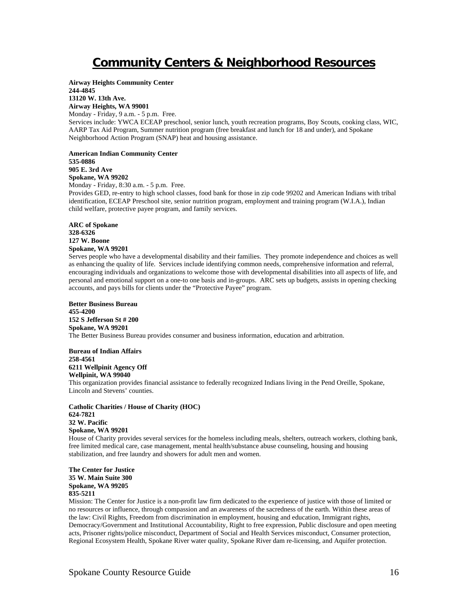# **Community Centers & Neighborhood Resources**

**Airway Heights Community Center 244-4845 13120 W. 13th Ave.** 

**Airway Heights, WA 99001**  Monday - Friday, 9 a.m. - 5 p.m. Free.

Services include: YWCA ECEAP preschool, senior lunch, youth recreation programs, Boy Scouts, cooking class, WIC, AARP Tax Aid Program, Summer nutrition program (free breakfast and lunch for 18 and under), and Spokane Neighborhood Action Program (SNAP) heat and housing assistance.

**American Indian Community Center 535-0886 905 E. 3rd Ave** 

**Spokane, WA 99202**  Monday - Friday, 8:30 a.m. - 5 p.m. Free.

Provides GED, re-entry to high school classes, food bank for those in zip code 99202 and American Indians with tribal identification, ECEAP Preschool site, senior nutrition program, employment and training program (W.I.A.), Indian child welfare, protective payee program, and family services.

**ARC of Spokane 328-6326 127 W. Boone Spokane, WA 99201** 

Serves people who have a developmental disability and their families. They promote independence and choices as well as enhancing the quality of life. Services include identifying common needs, comprehensive information and referral, encouraging individuals and organizations to welcome those with developmental disabilities into all aspects of life, and personal and emotional support on a one-to one basis and in-groups. ARC sets up budgets, assists in opening checking accounts, and pays bills for clients under the "Protective Payee" program.

**Better Business Bureau 455-4200 152 S Jefferson St # 200 Spokane, WA 99201**  The Better Business Bureau provides consumer and business information, education and arbitration.

**Bureau of Indian Affairs 258-4561 6211 Wellpinit Agency Off Wellpinit, WA 99040** 

This organization provides financial assistance to federally recognized Indians living in the Pend Oreille, Spokane, Lincoln and Stevens' counties.

**Catholic Charities / House of Charity (HOC) 624-7821 32 W. Pacific Spokane, WA 99201** 

House of Charity provides several services for the homeless including meals, shelters, outreach workers, clothing bank, free limited medical care, case management, mental health/substance abuse counseling, housing and housing stabilization, and free laundry and showers for adult men and women.

**The Center for Justice 35 W. Main Suite 300 Spokane, WA 99205 835-5211** 

Mission: The Center for Justice is a non-profit law firm dedicated to the experience of justice with those of limited or no resources or influence, through compassion and an awareness of the sacredness of the earth. Within these areas of the law: Civil Rights, Freedom from discrimination in employment, housing and education, Immigrant rights, Democracy/Government and Institutional Accountability, Right to free expression, Public disclosure and open meeting acts, Prisoner rights/police misconduct, Department of Social and Health Services misconduct, Consumer protection, Regional Ecosystem Health, Spokane River water quality, Spokane River dam re-licensing, and Aquifer protection.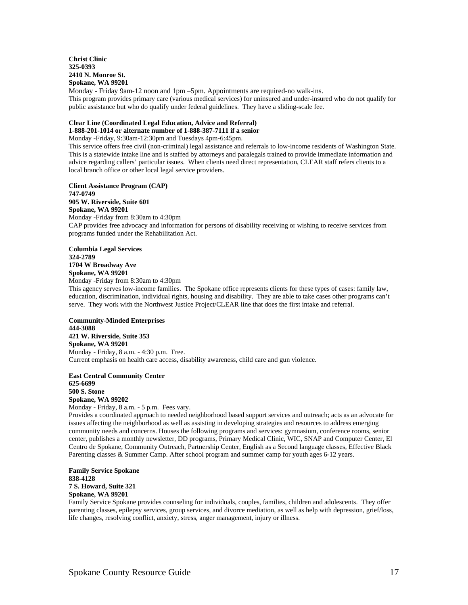#### **Christ Clinic 325-0393 2410 N. Monroe St. Spokane, WA 99201**

Monday - Friday 9am-12 noon and 1pm –5pm. Appointments are required-no walk-ins. This program provides primary care (various medical services) for uninsured and under-insured who do not qualify for public assistance but who do qualify under federal guidelines. They have a sliding-scale fee.

# **Clear Line (Coordinated Legal Education, Advice and Referral)**

**1-888-201-1014 or alternate number of 1-888-387-7111 if a senior** 

Monday -Friday, 9:30am-12:30pm and Tuesdays 4pm-6:45pm. This service offers free civil (non-criminal) legal assistance and referrals to low-income residents of Washington State. This is a statewide intake line and is staffed by attorneys and paralegals trained to provide immediate information and advice regarding callers' particular issues. When clients need direct representation, CLEAR staff refers clients to a local branch office or other local legal service providers.

**Client Assistance Program (CAP) 747-0749 905 W. Riverside, Suite 601 Spokane, WA 99201**  Monday -Friday from 8:30am to 4:30pm CAP provides free advocacy and information for persons of disability receiving or wishing to receive services from programs funded under the Rehabilitation Act.

**Columbia Legal Services 324-2789 1704 W Broadway Ave Spokane, WA 99201** 

Monday -Friday from 8:30am to 4:30pm

This agency serves low-income families. The Spokane office represents clients for these types of cases: family law, education, discrimination, individual rights, housing and disability. They are able to take cases other programs can't serve. They work with the Northwest Justice Project/CLEAR line that does the first intake and referral.

**Community-Minded Enterprises 444-3088 421 W. Riverside, Suite 353 Spokane, WA 99201**  Monday - Friday, 8 a.m. - 4:30 p.m. Free. Current emphasis on health care access, disability awareness, child care and gun violence.

**East Central Community Center 625-6699 500 S. Stone Spokane, WA 99202**  Monday - Friday, 8 a.m. - 5 p.m. Fees vary.

Provides a coordinated approach to needed neighborhood based support services and outreach; acts as an advocate for issues affecting the neighborhood as well as assisting in developing strategies and resources to address emerging community needs and concerns. Houses the following programs and services: gymnasium, conference rooms, senior center, publishes a monthly newsletter, DD programs, Primary Medical Clinic, WIC, SNAP and Computer Center, El Centro de Spokane, Community Outreach, Partnership Center, English as a Second language classes, Effective Black Parenting classes & Summer Camp. After school program and summer camp for youth ages 6-12 years.

**Family Service Spokane 838-4128 7 S. Howard, Suite 321 Spokane, WA 99201** 

Family Service Spokane provides counseling for individuals, couples, families, children and adolescents. They offer parenting classes, epilepsy services, group services, and divorce mediation, as well as help with depression, grief/loss, life changes, resolving conflict, anxiety, stress, anger management, injury or illness.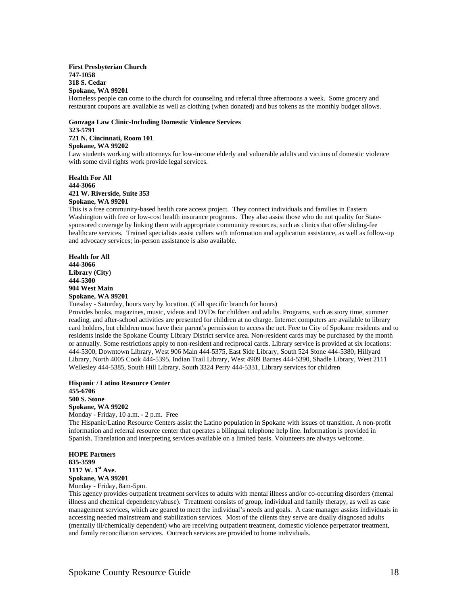#### **First Presbyterian Church 747-1058 318 S. Cedar Spokane, WA 99201**

Homeless people can come to the church for counseling and referral three afternoons a week. Some grocery and restaurant coupons are available as well as clothing (when donated) and bus tokens as the monthly budget allows.

#### **Gonzaga Law Clinic-Including Domestic Violence Services 323-5791 721 N. Cincinnati, Room 101 Spokane, WA 99202**

Law students working with attorneys for low-income elderly and vulnerable adults and victims of domestic violence with some civil rights work provide legal services.

**Health For All 444-3066 421 W. Riverside, Suite 353 Spokane, WA 99201** 

This is a free community-based health care access project. They connect individuals and families in Eastern Washington with free or low-cost health insurance programs. They also assist those who do not quality for Statesponsored coverage by linking them with appropriate community resources, such as clinics that offer sliding-fee healthcare services. Trained specialists assist callers with information and application assistance, as well as follow-up and advocacy services; in-person assistance is also available.

**Health for All 444-3066 Library (City) 444-5300 904 West Main Spokane, WA 99201** 

Tuesday - Saturday, hours vary by location. (Call specific branch for hours)

Provides books, magazines, music, videos and DVDs for children and adults. Programs, such as story time, summer reading, and after-school activities are presented for children at no charge. Internet computers are available to library card holders, but children must have their parent's permission to access the net. Free to City of Spokane residents and to residents inside the Spokane County Library District service area. Non-resident cards may be purchased by the month or annually. Some restrictions apply to non-resident and reciprocal cards. Library service is provided at six locations: 444-5300, Downtown Library, West 906 Main 444-5375, East Side Library, South 524 Stone 444-5380, Hillyard Library, North 4005 Cook 444-5395, Indian Trail Library, West 4909 Barnes 444-5390, Shadle Library, West 2111 Wellesley 444-5385, South Hill Library, South 3324 Perry 444-5331, Library services for children

#### **Hispanic / Latino Resource Center 455-6706 500 S. Stone Spokane, WA 99202**

Monday - Friday, 10 a.m. - 2 p.m. Free

The Hispanic/Latino Resource Centers assist the Latino population in Spokane with issues of transition. A non-profit information and referral resource center that operates a bilingual telephone help line. Information is provided in Spanish. Translation and interpreting services available on a limited basis. Volunteers are always welcome.

**HOPE Partners 835-3599 1117 W. 1st Ave. Spokane, WA 99201**  Monday - Friday, 8am-5pm.

This agency provides outpatient treatment services to adults with mental illness and/or co-occurring disorders (mental illness and chemical dependency/abuse). Treatment consists of group, individual and family therapy, as well as case management services, which are geared to meet the individual's needs and goals. A case manager assists individuals in accessing needed mainstream and stabilization services. Most of the clients they serve are dually diagnosed adults (mentally ill/chemically dependent) who are receiving outpatient treatment, domestic violence perpetrator treatment, and family reconciliation services. Outreach services are provided to home individuals.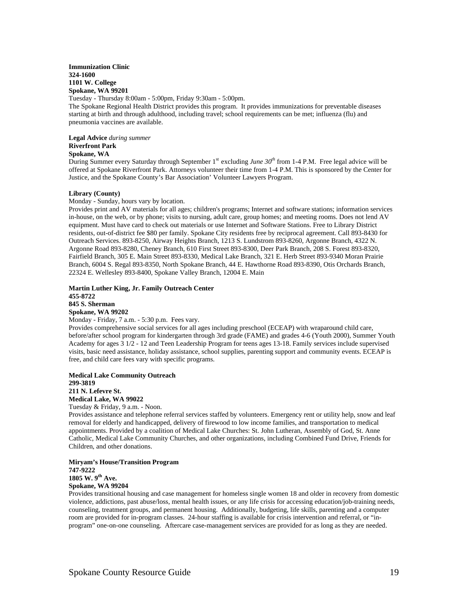**Immunization Clinic 324-1600 1101 W. College Spokane, WA 99201** 

Tuesday - Thursday 8:00am - 5:00pm, Friday 9:30am - 5:00pm.

The Spokane Regional Health District provides this program. It provides immunizations for preventable diseases starting at birth and through adulthood, including travel; school requirements can be met; influenza (flu) and pneumonia vaccines are available.

**Legal Advice** *during summer* **Riverfront Park Spokane, WA** 

During Summer every Saturday through September 1<sup>st</sup> excluding *June 30<sup>th</sup>* from 1-4 P.M. Free legal advice will be offered at Spokane Riverfront Park. Attorneys volunteer their time from 1-4 P.M. This is sponsored by the Center for Justice, and the Spokane County's Bar Association' Volunteer Lawyers Program.

#### **Library (County)**

Monday - Sunday, hours vary by location.

Provides print and AV materials for all ages; children's programs; Internet and software stations; information services in-house, on the web, or by phone; visits to nursing, adult care, group homes; and meeting rooms. Does not lend AV equipment. Must have card to check out materials or use Internet and Software Stations. Free to Library District residents, out-of-district fee \$80 per family. Spokane City residents free by reciprocal agreement. Call 893-8430 for Outreach Services. 893-8250, Airway Heights Branch, 1213 S. Lundstrom 893-8260, Argonne Branch, 4322 N. Argonne Road 893-8280, Cheney Branch, 610 First Street 893-8300, Deer Park Branch, 208 S. Forest 893-8320, Fairfield Branch, 305 E. Main Street 893-8330, Medical Lake Branch, 321 E. Herb Street 893-9340 Moran Prairie Branch, 6004 S. Regal 893-8350, North Spokane Branch, 44 E. Hawthorne Road 893-8390, Otis Orchards Branch, 22324 E. Wellesley 893-8400, Spokane Valley Branch, 12004 E. Main

#### **Martin Luther King, Jr. Family Outreach Center 455-8722 845 S. Sherman Spokane, WA 99202**

Monday - Friday, 7 a.m. - 5:30 p.m. Fees vary.

Provides comprehensive social services for all ages including preschool (ECEAP) with wraparound child care, before/after school program for kindergarten through 3rd grade (FAME) and grades 4-6 (Youth 2000), Summer Youth Academy for ages 3 1/2 - 12 and Teen Leadership Program for teens ages 13-18. Family services include supervised visits, basic need assistance, holiday assistance, school supplies, parenting support and community events. ECEAP is free, and child care fees vary with specific programs.

#### **Medical Lake Community Outreach 299-3819 211 N. Lefevre St. Medical Lake, WA 99022**

Tuesday & Friday, 9 a.m. - Noon.

Provides assistance and telephone referral services staffed by volunteers. Emergency rent or utility help, snow and leaf removal for elderly and handicapped, delivery of firewood to low income families, and transportation to medical appointments. Provided by a coalition of Medical Lake Churches: St. John Lutheran, Assembly of God, St. Anne Catholic, Medical Lake Community Churches, and other organizations, including Combined Fund Drive, Friends for Children, and other donations.

#### **Miryam's House/Transition Program 747-9222 1805 W. 9th Ave. Spokane, WA 99204**

Provides transitional housing and case management for homeless single women 18 and older in recovery from domestic violence, addictions, past abuse/loss, mental health issues, or any life crisis for accessing education/job-training needs, counseling, treatment groups, and permanent housing. Additionally, budgeting, life skills, parenting and a computer room are provided for in-program classes. 24-hour staffing is available for crisis intervention and referral, or "inprogram" one-on-one counseling. Aftercare case-management services are provided for as long as they are needed.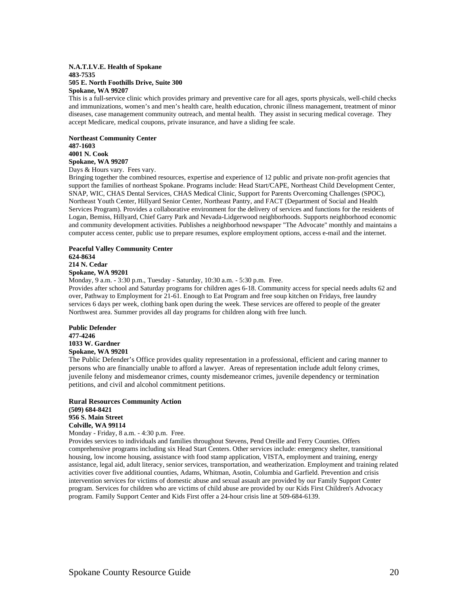#### **N.A.T.I.V.E. Health of Spokane 483-7535 505 E. North Foothills Drive, Suite 300 Spokane, WA 99207**

This is a full-service clinic which provides primary and preventive care for all ages, sports physicals, well-child checks and immunizations, women's and men's health care, health education, chronic illness management, treatment of minor diseases, case management community outreach, and mental health. They assist in securing medical coverage. They accept Medicare, medical coupons, private insurance, and have a sliding fee scale.

**Northeast Community Center 487-1603 4001 N. Cook Spokane, WA 99207**  Days & Hours vary. Fees vary.

Bringing together the combined resources, expertise and experience of 12 public and private non-profit agencies that support the families of northeast Spokane. Programs include: Head Start/CAPE, Northeast Child Development Center, SNAP, WIC, CHAS Dental Services, CHAS Medical Clinic, Support for Parents Overcoming Challenges (SPOC), Northeast Youth Center, Hillyard Senior Center, Northeast Pantry, and FACT (Department of Social and Health Services Program). Provides a collaborative environment for the delivery of services and functions for the residents of Logan, Bemiss, Hillyard, Chief Garry Park and Nevada-Lidgerwood neighborhoods. Supports neighborhood economic and community development activities. Publishes a neighborhood newspaper "The Advocate" monthly and maintains a computer access center, public use to prepare resumes, explore employment options, access e-mail and the internet.

#### **Peaceful Valley Community Center 624-8634 214 N. Cedar Spokane, WA 99201**

Monday, 9 a.m. - 3:30 p.m., Tuesday - Saturday, 10:30 a.m. - 5:30 p.m. Free.

Provides after school and Saturday programs for children ages 6-18. Community access for special needs adults 62 and over, Pathway to Employment for 21-61. Enough to Eat Program and free soup kitchen on Fridays, free laundry services 6 days per week, clothing bank open during the week. These services are offered to people of the greater Northwest area. Summer provides all day programs for children along with free lunch.

**Public Defender 477-4246 1033 W. Gardner Spokane, WA 99201**

The Public Defender's Office provides quality representation in a professional, efficient and caring manner to persons who are financially unable to afford a lawyer. Areas of representation include adult felony crimes, juvenile felony and misdemeanor crimes, county misdemeanor crimes, juvenile dependency or termination petitions, and civil and alcohol commitment petitions.

#### **Rural Resources Community Action (509) 684-8421 956 S. Main Street Colville, WA 99114**  Monday - Friday, 8 a.m. - 4:30 p.m. Free.

Provides services to individuals and families throughout Stevens, Pend Oreille and Ferry Counties. Offers comprehensive programs including six Head Start Centers. Other services include: emergency shelter, transitional housing, low income housing, assistance with food stamp application, VISTA, employment and training, energy assistance, legal aid, adult literacy, senior services, transportation, and weatherization. Employment and training related activities cover five additional counties, Adams, Whitman, Asotin, Columbia and Garfield. Prevention and crisis intervention services for victims of domestic abuse and sexual assault are provided by our Family Support Center program. Services for children who are victims of child abuse are provided by our Kids First Children's Advocacy program. Family Support Center and Kids First offer a 24-hour crisis line at 509-684-6139.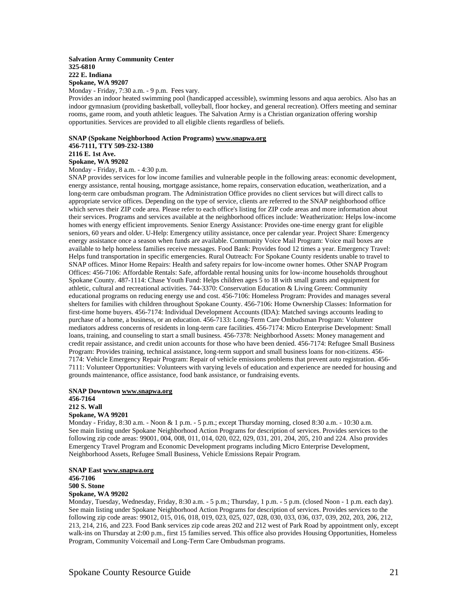#### **Salvation Army Community Center 325-6810 222 E. Indiana Spokane, WA 99207**

Monday - Friday, 7:30 a.m. - 9 p.m. Fees vary.

Provides an indoor heated swimming pool (handicapped accessible), swimming lessons and aqua aerobics. Also has an indoor gymnasium (providing basketball, volleyball, floor hockey, and general recreation). Offers meeting and seminar rooms, game room, and youth athletic leagues. The Salvation Army is a Christian organization offering worship opportunities. Services are provided to all eligible clients regardless of beliefs.

# **SNAP (Spokane Neighborhood Action Programs) www.snapwa.org**

**456-7111, TTY 509-232-1380** 

**2116 E. 1st Ave.** 

#### **Spokane, WA 99202**  Monday - Friday, 8 a.m. - 4:30 p.m.

SNAP provides services for low income families and vulnerable people in the following areas: economic development, energy assistance, rental housing, mortgage assistance, home repairs, conservation education, weatherization, and a long-term care ombudsman program. The Administration Office provides no client services but will direct calls to appropriate service offices. Depending on the type of service, clients are referred to the SNAP neighborhood office which serves their ZIP code area. Please refer to each office's listing for ZIP code areas and more information about their services. Programs and services available at the neighborhood offices include: Weatherization: Helps low-income homes with energy efficient improvements. Senior Energy Assistance: Provides one-time energy grant for eligible seniors, 60 years and older. U-Help: Emergency utility assistance, once per calendar year. Project Share: Emergency energy assistance once a season when funds are available. Community Voice Mail Program: Voice mail boxes are available to help homeless families receive messages. Food Bank: Provides food 12 times a year. Emergency Travel: Helps fund transportation in specific emergencies. Rural Outreach: For Spokane County residents unable to travel to SNAP offices. Minor Home Repairs: Health and safety repairs for low-income owner homes. Other SNAP Program Offices: 456-7106: Affordable Rentals: Safe, affordable rental housing units for low-income households throughout Spokane County. 487-1114: Chase Youth Fund: Helps children ages 5 to 18 with small grants and equipment for athletic, cultural and recreational activities. 744-3370: Conservation Education & Living Green: Community educational programs on reducing energy use and cost. 456-7106: Homeless Program: Provides and manages several shelters for families with children throughout Spokane County. 456-7106: Home Ownership Classes: Information for first-time home buyers. 456-7174: Individual Development Accounts (IDA): Matched savings accounts leading to purchase of a home, a business, or an education. 456-7133: Long-Term Care Ombudsman Program: Volunteer mediators address concerns of residents in long-term care facilities. 456-7174: Micro Enterprise Development: Small loans, training, and counseling to start a small business. 456-7378: Neighborhood Assets: Money management and credit repair assistance, and credit union accounts for those who have been denied. 456-7174: Refugee Small Business Program: Provides training, technical assistance, long-term support and small business loans for non-citizens. 456- 7174: Vehicle Emergency Repair Program: Repair of vehicle emissions problems that prevent auto registration. 456- 7111: Volunteer Opportunities: Volunteers with varying levels of education and experience are needed for housing and grounds maintenance, office assistance, food bank assistance, or fundraising events.

#### **SNAP Downtown www.snapwa.org 456-7164 212 S. Wall**

#### **Spokane, WA 99201**

Monday - Friday, 8:30 a.m. - Noon & 1 p.m. - 5 p.m.; except Thursday morning, closed 8:30 a.m. - 10:30 a.m. See main listing under Spokane Neighborhood Action Programs for description of services. Provides services to the following zip code areas: 99001, 004, 008, 011, 014, 020, 022, 029, 031, 201, 204, 205, 210 and 224. Also provides Emergency Travel Program and Economic Development programs including Micro Enterprise Development, Neighborhood Assets, Refugee Small Business, Vehicle Emissions Repair Program.

# **SNAP East www.snapwa.org 456-7106 500 S. Stone**

# **Spokane, WA 99202**

Monday, Tuesday, Wednesday, Friday, 8:30 a.m. - 5 p.m.; Thursday, 1 p.m. - 5 p.m. (closed Noon - 1 p.m. each day). See main listing under Spokane Neighborhood Action Programs for description of services. Provides services to the following zip code areas: 99012, 015, 016, 018, 019, 023, 025, 027, 028, 030, 033, 036, 037, 039, 202, 203, 206, 212, 213, 214, 216, and 223. Food Bank services zip code areas 202 and 212 west of Park Road by appointment only, except walk-ins on Thursday at 2:00 p.m., first 15 families served. This office also provides Housing Opportunities, Homeless Program, Community Voicemail and Long-Term Care Ombudsman programs.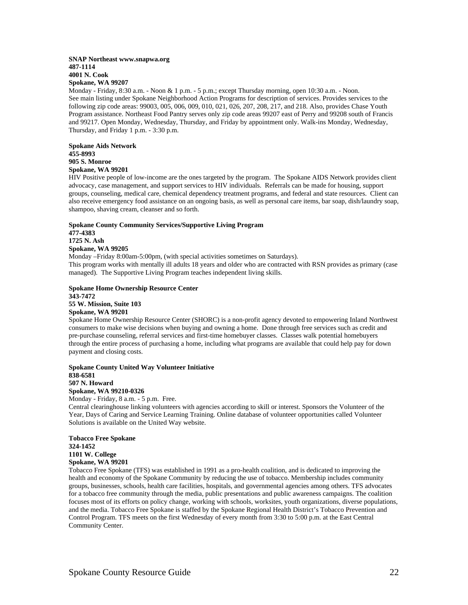#### **SNAP Northeast www.snapwa.org 487-1114 4001 N. Cook Spokane, WA 99207**

Monday - Friday, 8:30 a.m. - Noon & 1 p.m. - 5 p.m.; except Thursday morning, open 10:30 a.m. - Noon. See main listing under Spokane Neighborhood Action Programs for description of services. Provides services to the following zip code areas: 99003, 005, 006, 009, 010, 021, 026, 207, 208, 217, and 218. Also, provides Chase Youth Program assistance. Northeast Food Pantry serves only zip code areas 99207 east of Perry and 99208 south of Francis and 99217. Open Monday, Wednesday, Thursday, and Friday by appointment only. Walk-ins Monday, Wednesday, Thursday, and Friday 1 p.m. - 3:30 p.m.

#### **Spokane Aids Network 455-8993 905 S. Monroe Spokane, WA 99201**

HIV Positive people of low-income are the ones targeted by the program. The Spokane AIDS Network provides client advocacy, case management, and support services to HIV individuals. Referrals can be made for housing, support groups, counseling, medical care, chemical dependency treatment programs, and federal and state resources. Client can also receive emergency food assistance on an ongoing basis, as well as personal care items, bar soap, dish/laundry soap, shampoo, shaving cream, cleanser and so forth.

# **Spokane County Community Services/Supportive Living Program 477-4383 1725 N. Ash Spokane, WA 99205**

Monday –Friday 8:00am-5:00pm, (with special activities sometimes on Saturdays). This program works with mentally ill adults 18 years and older who are contracted with RSN provides as primary (case managed). The Supportive Living Program teaches independent living skills.

#### **Spokane Home Ownership Resource Center 343-7472 55 W. Mission, Suite 103 Spokane, WA 99201**

Spokane Home Ownership Resource Center (SHORC) is a non-profit agency devoted to empowering Inland Northwest consumers to make wise decisions when buying and owning a home. Done through free services such as credit and pre-purchase counseling, referral services and first-time homebuyer classes. Classes walk potential homebuyers through the entire process of purchasing a home, including what programs are available that could help pay for down payment and closing costs.

#### **Spokane County United Way Volunteer Initiative 838-6581 507 N. Howard**

**Spokane, WA 99210-0326** 

#### Monday - Friday, 8 a.m. - 5 p.m. Free.

Central clearinghouse linking volunteers with agencies according to skill or interest. Sponsors the Volunteer of the Year, Days of Caring and Service Learning Training. Online database of volunteer opportunities called Volunteer Solutions is available on the United Way website.

#### **Tobacco Free Spokane 324-1452 1101 W. College Spokane, WA 99201**

Tobacco Free Spokane (TFS) was established in 1991 as a pro-health coalition, and is dedicated to improving the health and economy of the Spokane Community by reducing the use of tobacco. Membership includes community groups, businesses, schools, health care facilities, hospitals, and governmental agencies among others. TFS advocates for a tobacco free community through the media, public presentations and public awareness campaigns. The coalition focuses most of its efforts on policy change, working with schools, worksites, youth organizations, diverse populations, and the media. Tobacco Free Spokane is staffed by the Spokane Regional Health District's Tobacco Prevention and Control Program. TFS meets on the first Wednesday of every month from 3:30 to 5:00 p.m. at the East Central Community Center.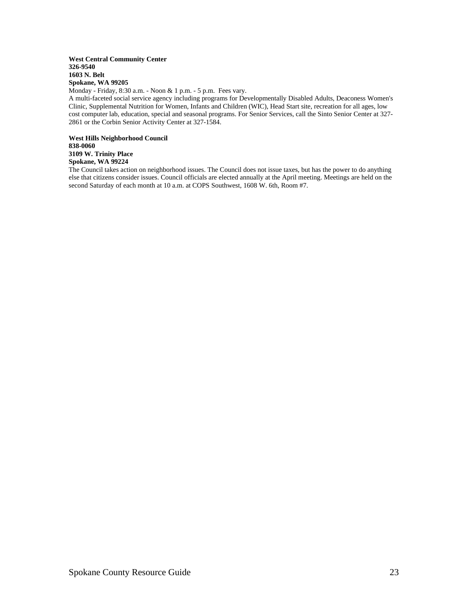#### **West Central Community Center 326-9540 1603 N. Belt Spokane, WA 99205**

Monday - Friday, 8:30 a.m. - Noon & 1 p.m. - 5 p.m. Fees vary.

A multi-faceted social service agency including programs for Developmentally Disabled Adults, Deaconess Women's Clinic, Supplemental Nutrition for Women, Infants and Children (WIC), Head Start site, recreation for all ages, low cost computer lab, education, special and seasonal programs. For Senior Services, call the Sinto Senior Center at 327- 2861 or the Corbin Senior Activity Center at 327-1584.

**West Hills Neighborhood Council 838-0060 3109 W. Trinity Place Spokane, WA 99224**

The Council takes action on neighborhood issues. The Council does not issue taxes, but has the power to do anything else that citizens consider issues. Council officials are elected annually at the April meeting. Meetings are held on the second Saturday of each month at 10 a.m. at COPS Southwest, 1608 W. 6th, Room #7.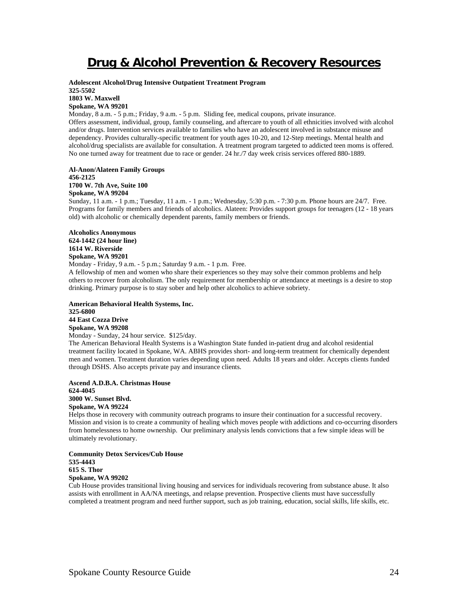# **Drug & Alcohol Prevention & Recovery Resources**

**Adolescent Alcohol/Drug Intensive Outpatient Treatment Program 325-5502 1803 W. Maxwell** 

#### **Spokane, WA 99201**

Monday, 8 a.m. - 5 p.m.; Friday, 9 a.m. - 5 p.m. Sliding fee, medical coupons, private insurance. Offers assessment, individual, group, family counseling, and aftercare to youth of all ethnicities involved with alcohol and/or drugs. Intervention services available to families who have an adolescent involved in substance misuse and dependency. Provides culturally-specific treatment for youth ages 10-20, and 12-Step meetings. Mental health and alcohol/drug specialists are available for consultation. A treatment program targeted to addicted teen moms is offered. No one turned away for treatment due to race or gender. 24 hr./7 day week crisis services offered 880-1889.

**Al-Anon/Alateen Family Groups 456-2125 1700 W. 7th Ave, Suite 100** 

#### **Spokane, WA 99204**

Sunday, 11 a.m. - 1 p.m.; Tuesday, 11 a.m. - 1 p.m.; Wednesday, 5:30 p.m. - 7:30 p.m. Phone hours are 24/7. Free. Programs for family members and friends of alcoholics. Alateen: Provides support groups for teenagers (12 - 18 years old) with alcoholic or chemically dependent parents, family members or friends.

**Alcoholics Anonymous 624-1442 (24 hour line) 1614 W. Riverside Spokane, WA 99201** 

Monday - Friday, 9 a.m. - 5 p.m.; Saturday 9 a.m. - 1 p.m. Free.

A fellowship of men and women who share their experiences so they may solve their common problems and help others to recover from alcoholism. The only requirement for membership or attendance at meetings is a desire to stop drinking. Primary purpose is to stay sober and help other alcoholics to achieve sobriety.

**American Behavioral Health Systems, Inc. 325-6800 44 East Cozza Drive Spokane, WA 99208** 

Monday - Sunday, 24 hour service. \$125/day.

The American Behavioral Health Systems is a Washington State funded in-patient drug and alcohol residential treatment facility located in Spokane, WA. ABHS provides short- and long-term treatment for chemically dependent men and women. Treatment duration varies depending upon need. Adults 18 years and older. Accepts clients funded through DSHS. Also accepts private pay and insurance clients.

**Ascend A.D.B.A. Christmas House 624-4045 3000 W. Sunset Blvd. Spokane, WA 99224** 

Helps those in recovery with community outreach programs to insure their continuation for a successful recovery. Mission and vision is to create a community of healing which moves people with addictions and co-occurring disorders from homelessness to home ownership. Our preliminary analysis lends convictions that a few simple ideas will be ultimately revolutionary.

**Community Detox Services/Cub House 535-4443 615 S. Thor Spokane, WA 99202** 

Cub House provides transitional living housing and services for individuals recovering from substance abuse. It also assists with enrollment in AA/NA meetings, and relapse prevention. Prospective clients must have successfully completed a treatment program and need further support, such as job training, education, social skills, life skills, etc.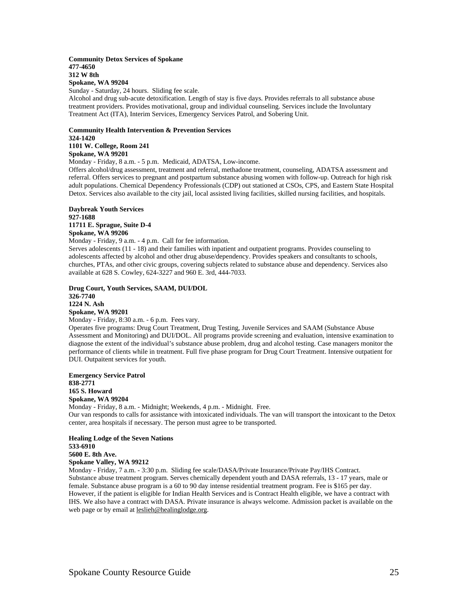#### **Community Detox Services of Spokane 477-4650 312 W 8th Spokane, WA 99204**

Sunday - Saturday, 24 hours. Sliding fee scale.

Alcohol and drug sub-acute detoxification. Length of stay is five days. Provides referrals to all substance abuse treatment providers. Provides motivational, group and individual counseling. Services include the Involuntary Treatment Act (ITA), Interim Services, Emergency Services Patrol, and Sobering Unit.

## **Community Health Intervention & Prevention Services 324-1420 1101 W. College, Room 241**

**Spokane, WA 99201** 

Monday - Friday, 8 a.m. - 5 p.m. Medicaid, ADATSA, Low-income.

Offers alcohol/drug assessment, treatment and referral, methadone treatment, counseling, ADATSA assessment and referral. Offers services to pregnant and postpartum substance abusing women with follow-up. Outreach for high risk adult populations. Chemical Dependency Professionals (CDP) out stationed at CSOs, CPS, and Eastern State Hospital Detox. Services also available to the city jail, local assisted living facilities, skilled nursing facilities, and hospitals.

#### **Daybreak Youth Services 927-1688 11711 E. Sprague, Suite D-4 Spokane, WA 99206**

Monday - Friday, 9 a.m. - 4 p.m. Call for fee information.

Serves adolescents (11 - 18) and their families with inpatient and outpatient programs. Provides counseling to adolescents affected by alcohol and other drug abuse/dependency. Provides speakers and consultants to schools, churches, PTAs, and other civic groups, covering subjects related to substance abuse and dependency. Services also available at 628 S. Cowley, 624-3227 and 960 E. 3rd, 444-7033.

**Drug Court, Youth Services, SAAM, DUI/DOL 326-7740 1224 N. Ash Spokane, WA 99201** 

Monday - Friday, 8:30 a.m. - 6 p.m. Fees vary. Operates five programs: Drug Court Treatment, Drug Testing, Juvenile Services and SAAM (Substance Abuse Assessment and Monitoring) and DUI/DOL. All programs provide screening and evaluation, intensive examination to diagnose the extent of the individual's substance abuse problem, drug and alcohol testing. Case managers monitor the performance of clients while in treatment. Full five phase program for Drug Court Treatment. Intensive outpatient for DUI. Outpaitent services for youth.

**Emergency Service Patrol 838-2771 165 S. Howard Spokane, WA 99204**  Monday - Friday, 8 a.m. - Midnight; Weekends, 4 p.m. - Midnight. Free. Our van responds to calls for assistance with intoxicated individuals. The van will transport the intoxicant to the Detox center, area hospitals if necessary. The person must agree to be transported.

**Healing Lodge of the Seven Nations 533-6910 5600 E. 8th Ave. Spokane Valley, WA 99212** 

Monday - Friday, 7 a.m. - 3:30 p.m. Sliding fee scale/DASA/Private Insurance/Private Pay/IHS Contract. Substance abuse treatment program. Serves chemically dependent youth and DASA referrals, 13 - 17 years, male or female. Substance abuse program is a 60 to 90 day intense residential treatment program. Fee is \$165 per day. However, if the patient is eligible for Indian Health Services and is Contract Health eligible, we have a contract with IHS. We also have a contract with DASA. Private insurance is always welcome. Admission packet is available on the web page or by email at leslieh@healinglodge.org.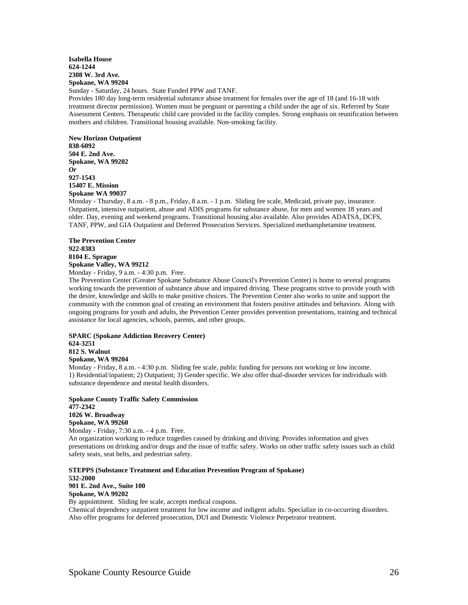## **Isabella House 624-1244 2308 W. 3rd Ave. Spokane, WA 99204**

Sunday - Saturday, 24 hours. State Funded PPW and TANF.

Provides 180 day long-term residential substance abuse treatment for females over the age of 18 (and 16-18 with treatment director permission). Women must be pregnant or parenting a child under the age of six. Referred by State Assessment Centers. Therapeutic child care provided in the facility complex. Strong emphasis on reunification between mothers and children. Transitional housing available. Non-smoking facility.

**New Horizon Outpatient 838-6092 504 E. 2nd Ave. Spokane, WA 99202**  *Or*  **927-1543 15407 E. Mission Spokane WA 99037**

Monday - Thursday, 8 a.m. - 8 p.m., Friday, 8 a.m. - 1 p.m. Sliding fee scale, Medicaid, private pay, insurance. Outpatient, intensive outpatient, abuse and ADIS programs for substance abuse, for men and women 18 years and older. Day, evening and weekend programs. Transitional housing also available. Also provides ADATSA, DCFS, TANF, PPW, and GIA Outpatient and Deferred Prosecution Services. Specialized methamphetamine treatment.

#### **The Prevention Center 922-8383 8104 E. Sprague Spokane Valley, WA 99212**  Monday - Friday, 9 a.m. - 4:30 p.m. Free.

The Prevention Center (Greater Spokane Substance Abuse Council's Prevention Center) is home to several programs working towards the prevention of substance abuse and impaired driving. These programs strive to provide youth with the desire, knowledge and skills to make positive choices. The Prevention Center also works to unite and support the community with the common goal of creating an environment that fosters positive attitudes and behaviors. Along with ongoing programs for youth and adults, the Prevention Center provides prevention presentations, training and technical assistance for local agencies, schools, parents, and other groups.

# **SPARC (Spokane Addiction Recovery Center)**

**624-3251 812 S. Walnut Spokane, WA 99204** 

Monday - Friday, 8 a.m. - 4:30 p.m. Sliding fee scale, public funding for persons not working or low income. 1) Residential/inpatient; 2) Outpatient; 3) Gender specific. We also offer dual-disorder services for individuals with substance dependence and mental health disorders.

**Spokane County Traffic Safety Commission 477-2342 1026 W. Broadway Spokane, WA 99260**  Monday - Friday, 7:30 a.m. - 4 p.m. Free.

An organization working to reduce tragedies caused by drinking and driving. Provides information and gives presentations on drinking and/or drugs and the issue of traffic safety. Works on other traffic safety issues such as child safety seats, seat belts, and pedestrian safety.

**STEPPS (Substance Treatment and Education Prevention Program of Spokane) 532-2000 901 E. 2nd Ave., Suite 100 Spokane, WA 99202** 

By appointment. Sliding fee scale, accepts medical coupons.

Chemical dependency outpatient treatment for low income and indigent adults. Specialize in co-occurring disorders. Also offer programs for deferred prosecution, DUI and Domestic Violence Perpetrator treatment.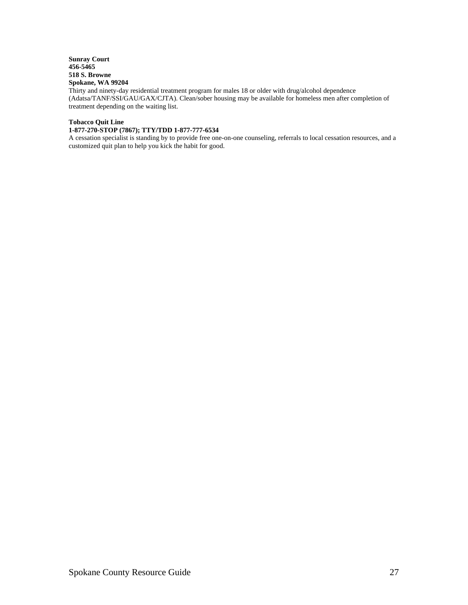# **Sunray Court 456-5465 518 S. Browne Spokane, WA 99204**

Thirty and ninety-day residential treatment program for males 18 or older with drug/alcohol dependence (Adatsa/TANF/SSI/GAU/GAX/CJTA). Clean/sober housing may be available for homeless men after completion of treatment depending on the waiting list.

# **Tobacco Quit Line**

# **1-877-270-STOP (7867); TTY/TDD 1-877-777-6534**

A cessation specialist is standing by to provide free one-on-one counseling, referrals to local cessation resources, and a customized quit plan to help you kick the habit for good.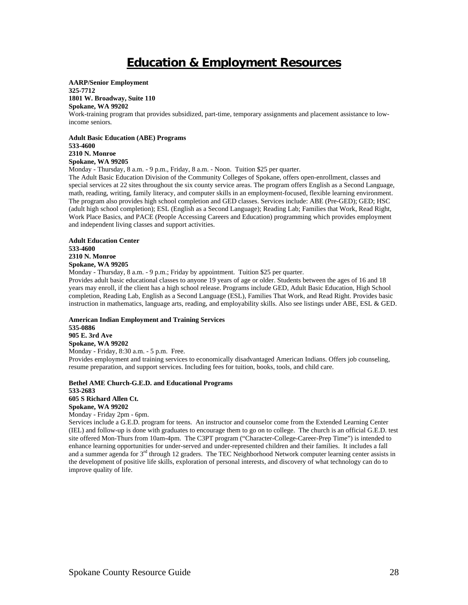# **Education & Employment Resources**

**AARP/Senior Employment 325-7712 1801 W. Broadway, Suite 110** 

**Spokane, WA 99202** 

Work-training program that provides subsidized, part-time, temporary assignments and placement assistance to lowincome seniors.

**Adult Basic Education (ABE) Programs 533-4600** 

**2310 N. Monroe Spokane, WA 99205** 

Monday - Thursday, 8 a.m. - 9 p.m., Friday, 8 a.m. - Noon. Tuition \$25 per quarter.

The Adult Basic Education Division of the Community Colleges of Spokane, offers open-enrollment, classes and special services at 22 sites throughout the six county service areas. The program offers English as a Second Language, math, reading, writing, family literacy, and computer skills in an employment-focused, flexible learning environment. The program also provides high school completion and GED classes. Services include: ABE (Pre-GED); GED; HSC (adult high school completion); ESL (English as a Second Language); Reading Lab; Families that Work, Read Right, Work Place Basics, and PACE (People Accessing Careers and Education) programming which provides employment and independent living classes and support activities.

**Adult Education Center 533-4600 2310 N. Monroe Spokane, WA 99205** 

Monday - Thursday, 8 a.m. - 9 p.m.; Friday by appointment. Tuition \$25 per quarter.

Provides adult basic educational classes to anyone 19 years of age or older. Students between the ages of 16 and 18 years may enroll, if the client has a high school release. Programs include GED, Adult Basic Education, High School completion, Reading Lab, English as a Second Language (ESL), Families That Work, and Read Right. Provides basic instruction in mathematics, language arts, reading, and employability skills. Also see listings under ABE, ESL & GED.

**American Indian Employment and Training Services 535-0886 905 E. 3rd Ave Spokane, WA 99202**  Monday - Friday, 8:30 a.m. - 5 p.m. Free.

Provides employment and training services to economically disadvantaged American Indians. Offers job counseling, resume preparation, and support services. Including fees for tuition, books, tools, and child care.

**Bethel AME Church-G.E.D. and Educational Programs 533-2683 605 S Richard Allen Ct. Spokane, WA 99202** 

Monday - Friday 2pm - 6pm.

Services include a G.E.D. program for teens. An instructor and counselor come from the Extended Learning Center (IEL) and follow-up is done with graduates to encourage them to go on to college. The church is an official G.E.D. test site offered Mon-Thurs from 10am-4pm. The C3PT program ("Character-College-Career-Prep Time") is intended to enhance learning opportunities for under-served and under-represented children and their families. It includes a fall and a summer agenda for  $3<sup>rd</sup>$  through 12 graders. The TEC Neighborhood Network computer learning center assists in the development of positive life skills, exploration of personal interests, and discovery of what technology can do to improve quality of life.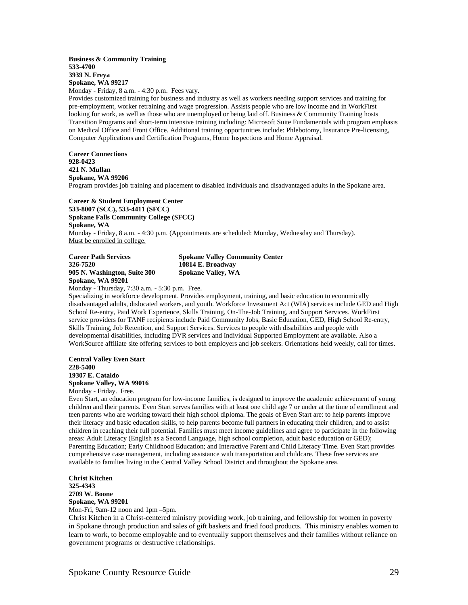#### **Business & Community Training 533-4700 3939 N. Freya Spokane, WA 99217**

Monday - Friday, 8 a.m. - 4:30 p.m. Fees vary.

Provides customized training for business and industry as well as workers needing support services and training for pre-employment, worker retraining and wage progression. Assists people who are low income and in WorkFirst looking for work, as well as those who are unemployed or being laid off. Business & Community Training hosts Transition Programs and short-term intensive training including: Microsoft Suite Fundamentals with program emphasis on Medical Office and Front Office. Additional training opportunities include: Phlebotomy, Insurance Pre-licensing, Computer Applications and Certification Programs, Home Inspections and Home Appraisal.

**Career Connections 928-0423 421 N. Mullan Spokane, WA 99206**  Program provides job training and placement to disabled individuals and disadvantaged adults in the Spokane area.

**Career & Student Employment Center 533-8007 (SCC), 533-4411 (SFCC) Spokane Falls Community College (SFCC) Spokane, WA**  Monday - Friday, 8 a.m. - 4:30 p.m. (Appointments are scheduled: Monday, Wednesday and Thursday). Must be enrolled in college.

**Career Path Services Spokane Valley Community Center 326-7520 10814 E. Broadway 905 N. Washington, Suite 300 Spokane Valley, WA Spokane, WA 99201** 

Monday - Thursday, 7:30 a.m. - 5:30 p.m. Free.

Specializing in workforce development. Provides employment, training, and basic education to economically disadvantaged adults, dislocated workers, and youth. Workforce Investment Act (WIA) services include GED and High School Re-entry, Paid Work Experience, Skills Training, On-The-Job Training, and Support Services. WorkFirst service providers for TANF recipients include Paid Community Jobs, Basic Education, GED, High School Re-entry, Skills Training, Job Retention, and Support Services. Services to people with disabilities and people with developmental disabilities, including DVR services and Individual Supported Employment are available. Also a WorkSource affiliate site offering services to both employers and job seekers. Orientations held weekly, call for times.

**Central Valley Even Start 228-5400 19307 E. Cataldo Spokane Valley, WA 99016** 

Monday - Friday. Free.

Even Start, an education program for low-income families, is designed to improve the academic achievement of young children and their parents. Even Start serves families with at least one child age 7 or under at the time of enrollment and teen parents who are working toward their high school diploma. The goals of Even Start are: to help parents improve their literacy and basic education skills, to help parents become full partners in educating their children, and to assist children in reaching their full potential. Families must meet income guidelines and agree to participate in the following areas: Adult Literacy (English as a Second Language, high school completion, adult basic education or GED); Parenting Education; Early Childhood Education; and Interactive Parent and Child Literacy Time. Even Start provides comprehensive case management, including assistance with transportation and childcare. These free services are available to families living in the Central Valley School District and throughout the Spokane area.

**Christ Kitchen 325-4343 2709 W. Boone Spokane, WA 99201** 

Mon-Fri, 9am-12 noon and 1pm –5pm.

Christ Kitchen in a Christ-centered ministry providing work, job training, and fellowship for women in poverty in Spokane through production and sales of gift baskets and fried food products. This ministry enables women to learn to work, to become employable and to eventually support themselves and their families without reliance on government programs or destructive relationships.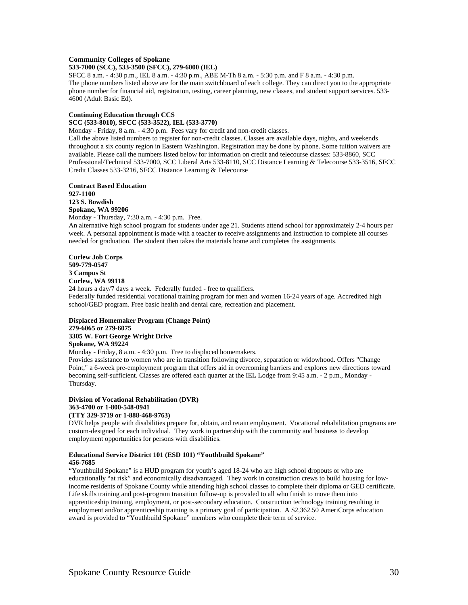#### **Community Colleges of Spokane**

## **533-7000 (SCC), 533-3500 (SFCC), 279-6000 (IEL)**

SFCC 8 a.m. - 4:30 p.m., IEL 8 a.m. - 4:30 p.m., ABE M-Th 8 a.m. - 5:30 p.m. and F 8 a.m. - 4:30 p.m. The phone numbers listed above are for the main switchboard of each college. They can direct you to the appropriate phone number for financial aid, registration, testing, career planning, new classes, and student support services. 533- 4600 (Adult Basic Ed).

#### **Continuing Education through CCS**

**SCC (533-8010), SFCC (533-3522), IEL (533-3770)** 

Monday - Friday, 8 a.m. - 4:30 p.m. Fees vary for credit and non-credit classes.

Call the above listed numbers to register for non-credit classes. Classes are available days, nights, and weekends throughout a six county region in Eastern Washington. Registration may be done by phone. Some tuition waivers are available. Please call the numbers listed below for information on credit and telecourse classes: 533-8860, SCC Professional/Technical 533-7000, SCC Liberal Arts 533-8110, SCC Distance Learning & Telecourse 533-3516, SFCC Credit Classes 533-3216, SFCC Distance Learning & Telecourse

#### **Contract Based Education 927-1100 123 S. Bowdish Spokane, WA 99206**

Monday - Thursday, 7:30 a.m. - 4:30 p.m. Free.

An alternative high school program for students under age 21. Students attend school for approximately 2-4 hours per week. A personal appointment is made with a teacher to receive assignments and instruction to complete all courses needed for graduation. The student then takes the materials home and completes the assignments.

# **Curlew Job Corps 509-779-0547 3 Campus St Curlew, WA 99118**

24 hours a day/7 days a week. Federally funded - free to qualifiers. Federally funded residential vocational training program for men and women 16-24 years of age. Accredited high school/GED program. Free basic health and dental care, recreation and placement.

#### **Displaced Homemaker Program (Change Point) 279-6065 or 279-6075 3305 W. Fort George Wright Drive**

**Spokane, WA 99224** 

Monday - Friday, 8 a.m. - 4:30 p.m. Free to displaced homemakers.

Provides assistance to women who are in transition following divorce, separation or widowhood. Offers "Change Point," a 6-week pre-employment program that offers aid in overcoming barriers and explores new directions toward becoming self-sufficient. Classes are offered each quarter at the IEL Lodge from 9:45 a.m. - 2 p.m., Monday - Thursday.

# **Division of Vocational Rehabilitation (DVR) 363-4700 or 1-800-548-0941**

#### **(TTY 329-3719 or 1-888-468-9763)**

DVR helps people with disabilities prepare for, obtain, and retain employment. Vocational rehabilitation programs are custom-designed for each individual. They work in partnership with the community and business to develop employment opportunities for persons with disabilities.

#### **Educational Service District 101 (ESD 101) "Youthbuild Spokane" 456-7685**

"Youthbuild Spokane" is a HUD program for youth's aged 18-24 who are high school dropouts or who are educationally "at risk" and economically disadvantaged. They work in construction crews to build housing for lowincome residents of Spokane County while attending high school classes to complete their diploma or GED certificate. Life skills training and post-program transition follow-up is provided to all who finish to move them into apprenticeship training, employment, or post-secondary education. Construction technology training resulting in employment and/or apprenticeship training is a primary goal of participation. A \$2,362.50 AmeriCorps education award is provided to "Youthbuild Spokane" members who complete their term of service.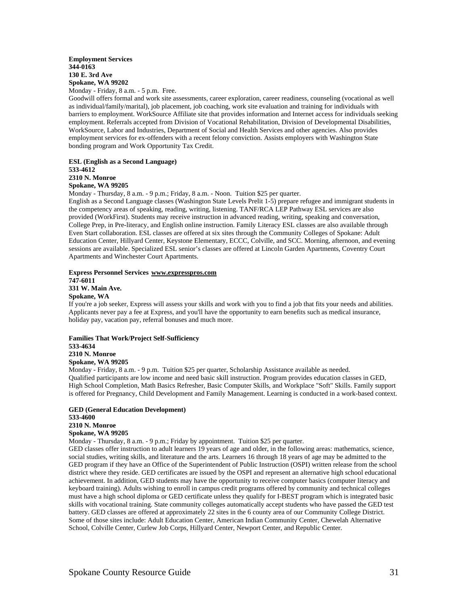# **Employment Services 344-0163 130 E. 3rd Ave Spokane, WA 99202**

Monday - Friday, 8 a.m. - 5 p.m. Free.

Goodwill offers formal and work site assessments, career exploration, career readiness, counseling (vocational as well as individual/family/marital), job placement, job coaching, work site evaluation and training for individuals with barriers to employment. WorkSource Affiliate site that provides information and Internet access for individuals seeking employment. Referrals accepted from Division of Vocational Rehabilitation, Division of Developmental Disabilities, WorkSource, Labor and Industries, Department of Social and Health Services and other agencies. Also provides employment services for ex-offenders with a recent felony conviction. Assists employers with Washington State bonding program and Work Opportunity Tax Credit.

#### **ESL (English as a Second Language) 533-4612 2310 N. Monroe Spokane, WA 99205**

Monday - Thursday, 8 a.m. - 9 p.m.; Friday, 8 a.m. - Noon. Tuition \$25 per quarter.

English as a Second Language classes (Washington State Levels Prelit 1-5) prepare refugee and immigrant students in the competency areas of speaking, reading, writing, listening. TANF/RCA LEP Pathway ESL services are also provided (WorkFirst). Students may receive instruction in advanced reading, writing, speaking and conversation, College Prep, in Pre-literacy, and English online instruction. Family Literacy ESL classes are also available through Even Start collaboration. ESL classes are offered at six sites through the Community Colleges of Spokane: Adult Education Center, Hillyard Center, Keystone Elementary, ECCC, Colville, and SCC. Morning, afternoon, and evening sessions are available. Specialized ESL senior's classes are offered at Lincoln Garden Apartments, Coventry Court Apartments and Winchester Court Apartments.

#### **Express Personnel Services www.expresspros.com 747-6011 331 W. Main Ave. Spokane, WA**

If you're a job seeker, Express will assess your skills and work with you to find a job that fits your needs and abilities. Applicants never pay a fee at Express, and you'll have the opportunity to earn benefits such as medical insurance, holiday pay, vacation pay, referral bonuses and much more.

#### **Families That Work/Project Self-Sufficiency 533-4634 2310 N. Monroe Spokane, WA 99205**

Monday - Friday, 8 a.m. - 9 p.m. Tuition \$25 per quarter, Scholarship Assistance available as needed. Qualified participants are low income and need basic skill instruction. Program provides education classes in GED, High School Completion, Math Basics Refresher, Basic Computer Skills, and Workplace "Soft" Skills. Family support is offered for Pregnancy, Child Development and Family Management. Learning is conducted in a work-based context.

#### **GED (General Education Development) 533-4600 2310 N. Monroe Spokane, WA 99205**

Monday - Thursday, 8 a.m. - 9 p.m.; Friday by appointment. Tuition \$25 per quarter.

GED classes offer instruction to adult learners 19 years of age and older, in the following areas: mathematics, science, social studies, writing skills, and literature and the arts. Learners 16 through 18 years of age may be admitted to the GED program if they have an Office of the Superintendent of Public Instruction (OSPI) written release from the school district where they reside. GED certificates are issued by the OSPI and represent an alternative high school educational achievement. In addition, GED students may have the opportunity to receive computer basics (computer literacy and keyboard training). Adults wishing to enroll in campus credit programs offered by community and technical colleges must have a high school diploma or GED certificate unless they qualify for I-BEST program which is integrated basic skills with vocational training. State community colleges automatically accept students who have passed the GED test battery. GED classes are offered at approximately 22 sites in the 6 county area of our Community College District. Some of those sites include: Adult Education Center, American Indian Community Center, Chewelah Alternative School, Colville Center, Curlew Job Corps, Hillyard Center, Newport Center, and Republic Center.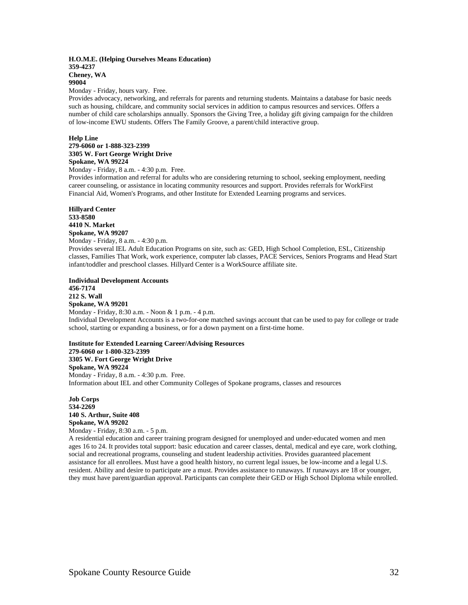#### **H.O.M.E. (Helping Ourselves Means Education) 359-4237 Cheney, WA 99004**

Monday - Friday, hours vary. Free.

Provides advocacy, networking, and referrals for parents and returning students. Maintains a database for basic needs such as housing, childcare, and community social services in addition to campus resources and services. Offers a number of child care scholarships annually. Sponsors the Giving Tree, a holiday gift giving campaign for the children of low-income EWU students. Offers The Family Groove, a parent/child interactive group.

#### **Help Line**

# **279-6060 or 1-888-323-2399 3305 W. Fort George Wright Drive Spokane, WA 99224**

Monday - Friday, 8 a.m. - 4:30 p.m. Free.

Provides information and referral for adults who are considering returning to school, seeking employment, needing career counseling, or assistance in locating community resources and support. Provides referrals for WorkFirst Financial Aid, Women's Programs, and other Institute for Extended Learning programs and services.

**Hillyard Center 533-8580 4410 N. Market Spokane, WA 99207**  Monday - Friday, 8 a.m. - 4:30 p.m.

Provides several IEL Adult Education Programs on site, such as: GED, High School Completion, ESL, Citizenship classes, Families That Work, work experience, computer lab classes, PACE Services, Seniors Programs and Head Start infant/toddler and preschool classes. Hillyard Center is a WorkSource affiliate site.

**Individual Development Accounts 456-7174 212 S. Wall** 

**Spokane, WA 99201**  Monday - Friday, 8:30 a.m. - Noon & 1 p.m. - 4 p.m. Individual Development Accounts is a two-for-one matched savings account that can be used to pay for college or trade school, starting or expanding a business, or for a down payment on a first-time home.

**Institute for Extended Learning Career/Advising Resources 279-6060 or 1-800-323-2399 3305 W. Fort George Wright Drive Spokane, WA 99224**  Monday - Friday, 8 a.m. - 4:30 p.m. Free. Information about IEL and other Community Colleges of Spokane programs, classes and resources

**Job Corps 534-2269 140 S. Arthur, Suite 408 Spokane, WA 99202**  Monday - Friday, 8:30 a.m. - 5 p.m.

A residential education and career training program designed for unemployed and under-educated women and men ages 16 to 24. It provides total support: basic education and career classes, dental, medical and eye care, work clothing, social and recreational programs, counseling and student leadership activities. Provides guaranteed placement assistance for all enrollees. Must have a good health history, no current legal issues, be low-income and a legal U.S. resident. Ability and desire to participate are a must. Provides assistance to runaways. If runaways are 18 or younger, they must have parent/guardian approval. Participants can complete their GED or High School Diploma while enrolled.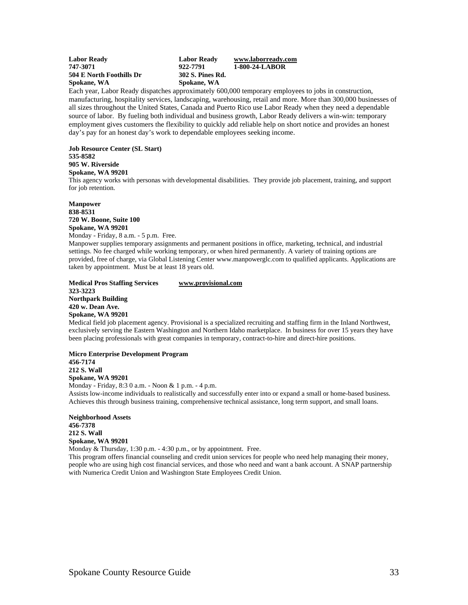| <b>Labor Ready</b>       | <b>Labor Ready</b> | www.laborreadv.com |
|--------------------------|--------------------|--------------------|
| 747-3071                 | 922-7791           | 1-800-24-LABOR     |
| 504 E North Foothills Dr | 302 S. Pines Rd.   |                    |
| Spokane, WA              | Spokane, WA        |                    |

Each year, Labor Ready dispatches approximately 600,000 temporary employees to jobs in construction, manufacturing, hospitality services, landscaping, warehousing, retail and more. More than 300,000 businesses of all sizes throughout the United States, Canada and Puerto Rico use Labor Ready when they need a dependable source of labor. By fueling both individual and business growth, Labor Ready delivers a win-win: temporary employment gives customers the flexibility to quickly add reliable help on short notice and provides an honest day's pay for an honest day's work to dependable employees seeking income.

**Job Resource Center (SL Start) 535-8582 905 W. Riverside Spokane, WA 99201**  This agency works with personas with developmental disabilities. They provide job placement, training, and support for job retention.

**Manpower 838-8531 720 W. Boone, Suite 100 Spokane, WA 99201**  Monday - Friday, 8 a.m. - 5 p.m. Free.

Manpower supplies temporary assignments and permanent positions in office, marketing, technical, and industrial settings. No fee charged while working temporary, or when hired permanently. A variety of training options are provided, free of charge, via Global Listening Center www.manpowerglc.com to qualified applicants. Applications are taken by appointment. Must be at least 18 years old.

**Medical Pros Staffing Services www.provisional.com 323-3223 Northpark Building 420 w. Dean Ave. Spokane, WA 99201** 

Medical field job placement agency. Provisional is a specialized recruiting and staffing firm in the Inland Northwest, exclusively serving the Eastern Washington and Northern Idaho marketplace. In business for over 15 years they have been placing professionals with great companies in temporary, contract-to-hire and direct-hire positions.

**Micro Enterprise Development Program 456-7174 212 S. Wall Spokane, WA 99201** Monday - Friday, 8:3 0 a.m. - Noon & 1 p.m. - 4 p.m.

Assists low-income individuals to realistically and successfully enter into or expand a small or home-based business. Achieves this through business training, comprehensive technical assistance, long term support, and small loans.

**Neighborhood Assets 456-7378 212 S. Wall Spokane, WA 99201**

Monday & Thursday, 1:30 p.m. - 4:30 p.m., or by appointment. Free.

This program offers financial counseling and credit union services for people who need help managing their money, people who are using high cost financial services, and those who need and want a bank account. A SNAP partnership with Numerica Credit Union and Washington State Employees Credit Union.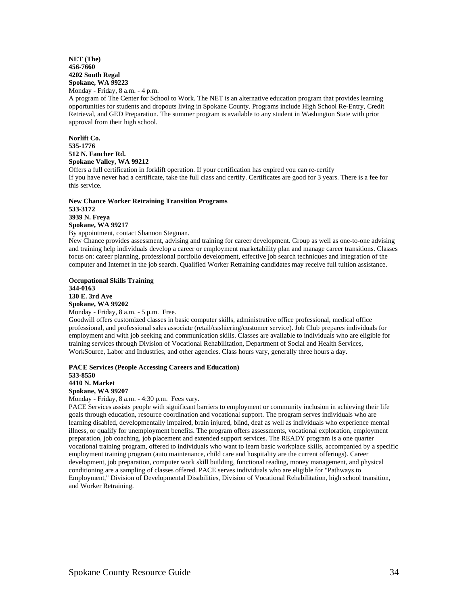# **NET (The) 456-7660 4202 South Regal Spokane, WA 99223**

Monday - Friday, 8 a.m. - 4 p.m.

A program of The Center for School to Work. The NET is an alternative education program that provides learning opportunities for students and dropouts living in Spokane County. Programs include High School Re-Entry, Credit Retrieval, and GED Preparation. The summer program is available to any student in Washington State with prior approval from their high school.

# **Norlift Co. 535-1776 512 N. Fancher Rd. Spokane Valley, WA 99212**

Offers a full certification in forklift operation. If your certification has expired you can re-certify If you have never had a certificate, take the full class and certify. Certificates are good for 3 years. There is a fee for this service.

#### **New Chance Worker Retraining Transition Programs 533-3172 3939 N. Freya Spokane, WA 99217**

By appointment, contact Shannon Stegman.

New Chance provides assessment, advising and training for career development. Group as well as one-to-one advising and training help individuals develop a career or employment marketability plan and manage career transitions. Classes focus on: career planning, professional portfolio development, effective job search techniques and integration of the computer and Internet in the job search. Qualified Worker Retraining candidates may receive full tuition assistance.

# **Occupational Skills Training 344-0163 130 E. 3rd Ave Spokane, WA 99202**

Monday - Friday, 8 a.m. - 5 p.m. Free. Goodwill offers customized classes in basic computer skills, administrative office professional, medical office professional, and professional sales associate (retail/cashiering/customer service). Job Club prepares individuals for employment and with job seeking and communication skills. Classes are available to individuals who are eligible for training services through Division of Vocational Rehabilitation, Department of Social and Health Services, WorkSource, Labor and Industries, and other agencies. Class hours vary, generally three hours a day.

#### **PACE Services (People Accessing Careers and Education) 533-8550 4410 N. Market Spokane, WA 99207**

Monday - Friday, 8 a.m. - 4:30 p.m. Fees vary.

PACE Services assists people with significant barriers to employment or community inclusion in achieving their life goals through education, resource coordination and vocational support. The program serves individuals who are learning disabled, developmentally impaired, brain injured, blind, deaf as well as individuals who experience mental illness, or qualify for unemployment benefits. The program offers assessments, vocational exploration, employment preparation, job coaching, job placement and extended support services. The READY program is a one quarter vocational training program, offered to individuals who want to learn basic workplace skills, accompanied by a specific employment training program (auto maintenance, child care and hospitality are the current offerings). Career development, job preparation, computer work skill building, functional reading, money management, and physical conditioning are a sampling of classes offered. PACE serves individuals who are eligible for "Pathways to Employment," Division of Developmental Disabilities, Division of Vocational Rehabilitation, high school transition, and Worker Retraining.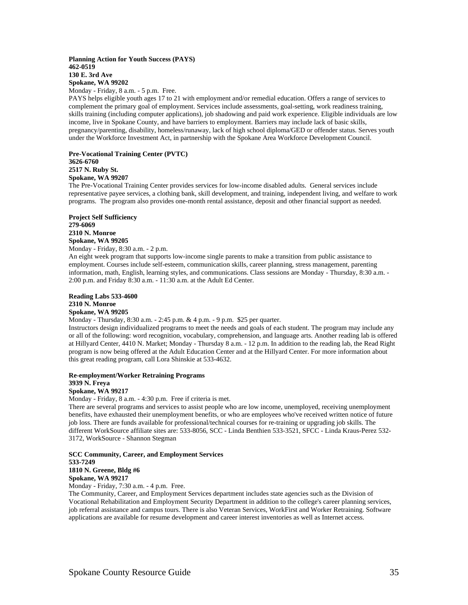### **Planning Action for Youth Success (PAYS) 462-0519 130 E. 3rd Ave Spokane, WA 99202**

Monday - Friday, 8 a.m. - 5 p.m. Free.

PAYS helps eligible youth ages 17 to 21 with employment and/or remedial education. Offers a range of services to complement the primary goal of employment. Services include assessments, goal-setting, work readiness training, skills training (including computer applications), job shadowing and paid work experience. Eligible individuals are low income, live in Spokane County, and have barriers to employment. Barriers may include lack of basic skills, pregnancy/parenting, disability, homeless/runaway, lack of high school diploma/GED or offender status. Serves youth under the Workforce Investment Act, in partnership with the Spokane Area Workforce Development Council.

# **Pre-Vocational Training Center (PVTC) 3626-6760 2517 N. Ruby St. Spokane, WA 99207**

The Pre-Vocational Training Center provides services for low-income disabled adults. General services include representative payee services, a clothing bank, skill development, and training, independent living, and welfare to work programs. The program also provides one-month rental assistance, deposit and other financial support as needed.

**Project Self Sufficiency 279-6069 2310 N. Monroe Spokane, WA 99205** Monday - Friday, 8:30 a.m. - 2 p.m.

An eight week program that supports low-income single parents to make a transition from public assistance to employment. Courses include self-esteem, communication skills, career planning, stress management, parenting information, math, English, learning styles, and communications. Class sessions are Monday - Thursday, 8:30 a.m. - 2:00 p.m. and Friday 8:30 a.m. - 11:30 a.m. at the Adult Ed Center.

**Reading Labs 533-4600 2310 N. Monroe Spokane, WA 99205** 

Monday - Thursday, 8:30 a.m. - 2:45 p.m. & 4 p.m. - 9 p.m. \$25 per quarter.

Instructors design individualized programs to meet the needs and goals of each student. The program may include any or all of the following: word recognition, vocabulary, comprehension, and language arts. Another reading lab is offered at Hillyard Center, 4410 N. Market; Monday - Thursday 8 a.m. - 12 p.m. In addition to the reading lab, the Read Right program is now being offered at the Adult Education Center and at the Hillyard Center. For more information about this great reading program, call Lora Shinskie at 533-4632.

#### **Re-employment/Worker Retraining Programs**

# **3939 N. Freya**

**Spokane, WA 99217** Monday - Friday, 8 a.m. - 4:30 p.m. Free if criteria is met.

There are several programs and services to assist people who are low income, unemployed, receiving unemployment benefits, have exhausted their unemployment benefits, or who are employees who've received written notice of future job loss. There are funds available for professional/technical courses for re-training or upgrading job skills. The different WorkSource affiliate sites are: 533-8056, SCC - Linda Benthien 533-3521, SFCC - Linda Kraus-Perez 532- 3172, WorkSource - Shannon Stegman

#### **SCC Community, Career, and Employment Services 533-7249 1810 N. Greene, Bldg #6 Spokane, WA 99217**

Monday - Friday, 7:30 a.m. - 4 p.m. Free.

The Community, Career, and Employment Services department includes state agencies such as the Division of Vocational Rehabilitation and Employment Security Department in addition to the college's career planning services, job referral assistance and campus tours. There is also Veteran Services, WorkFirst and Worker Retraining. Software applications are available for resume development and career interest inventories as well as Internet access.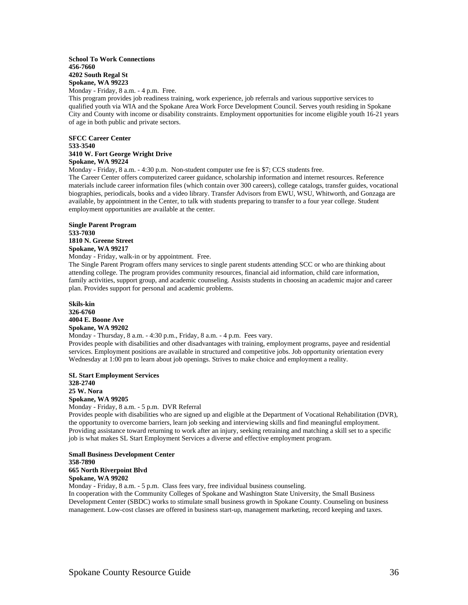#### **School To Work Connections 456-7660 4202 South Regal St Spokane, WA 99223**

Monday - Friday, 8 a.m. - 4 p.m. Free.

This program provides job readiness training, work experience, job referrals and various supportive services to qualified youth via WIA and the Spokane Area Work Force Development Council. Serves youth residing in Spokane City and County with income or disability constraints. Employment opportunities for income eligible youth 16-21 years of age in both public and private sectors.

#### **SFCC Career Center 533-3540 3410 W. Fort George Wright Drive Spokane, WA 99224**

Monday - Friday, 8 a.m. - 4:30 p.m. Non-student computer use fee is \$7; CCS students free.

The Career Center offers computerized career guidance, scholarship information and internet resources. Reference materials include career information files (which contain over 300 careers), college catalogs, transfer guides, vocational biographies, periodicals, books and a video library. Transfer Advisors from EWU, WSU, Whitworth, and Gonzaga are available, by appointment in the Center, to talk with students preparing to transfer to a four year college. Student employment opportunities are available at the center.

# **Single Parent Program 533-7030 1810 N. Greene Street Spokane, WA 99217**

Monday - Friday, walk-in or by appointment. Free.

The Single Parent Program offers many services to single parent students attending SCC or who are thinking about attending college. The program provides community resources, financial aid information, child care information, family activities, support group, and academic counseling. Assists students in choosing an academic major and career plan. Provides support for personal and academic problems.

**Skils-kin 326-6760 4004 E. Boone Ave Spokane, WA 99202** 

Monday - Thursday, 8 a.m. - 4:30 p.m., Friday, 8 a.m. - 4 p.m. Fees vary. Provides people with disabilities and other disadvantages with training, employment programs, payee and residential services. Employment positions are available in structured and competitive jobs. Job opportunity orientation every Wednesday at 1:00 pm to learn about job openings. Strives to make choice and employment a reality.

**SL Start Employment Services 328-2740 25 W. Nora Spokane, WA 99205**  Monday - Friday, 8 a.m. - 5 p.m. DVR Referral

Provides people with disabilities who are signed up and eligible at the Department of Vocational Rehabilitation (DVR), the opportunity to overcome barriers, learn job seeking and interviewing skills and find meaningful employment. Providing assistance toward returning to work after an injury, seeking retraining and matching a skill set to a specific job is what makes SL Start Employment Services a diverse and effective employment program.

#### **Small Business Development Center 358-7890 665 North Riverpoint Blvd Spokane, WA 99202**

Monday - Friday, 8 a.m. - 5 p.m. Class fees vary, free individual business counseling.

In cooperation with the Community Colleges of Spokane and Washington State University, the Small Business Development Center (SBDC) works to stimulate small business growth in Spokane County. Counseling on business management. Low-cost classes are offered in business start-up, management marketing, record keeping and taxes.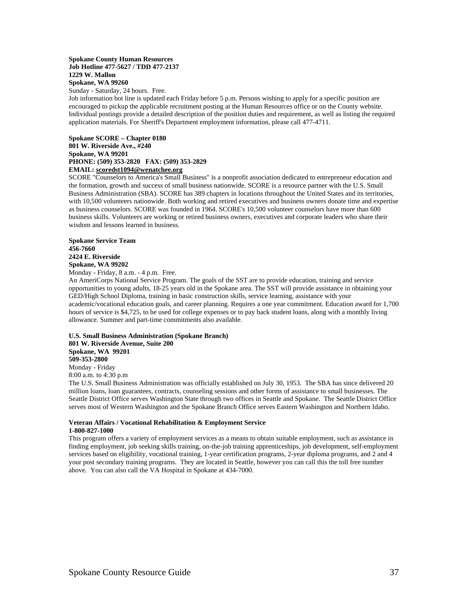#### **Spokane County Human Resources Job Hotline 477-5627 / TDD 477-2137 1229 W. Mallon Spokane, WA 99260**  Sunday - Saturday, 24 hours. Free.

Job information hot line is updated each Friday before 5 p.m. Persons wishing to apply for a specific position are encouraged to pickup the applicable recruitment posting at the Human Resources office or on the County website. Individual postings provide a detailed description of the position duties and requirement, as well as listing the required application materials. For Sheriff's Department employment information, please call 477-4711.

**Spokane SCORE – Chapter 0180 801 W. Riverside Ave., #240 Spokane, WA 99201 PHONE: (509) 353-2820 FAX: (509) 353-2829 EMAIL: scoredst1094@wenatchee.org**

SCORE "Counselors to America's Small Business" is a nonprofit association dedicated to entrepreneur education and the formation, growth and success of small business nationwide. SCORE is a resource partner with the U.S. Small Business Administration (SBA). SCORE has 389 chapters in locations throughout the United States and its territories, with 10,500 volunteers nationwide. Both working and retired executives and business owners donate time and expertise as business counselors. SCORE was founded in 1964. SCORE's 10,500 volunteer counselors have more than 600 business skills. Volunteers are working or retired business owners, executives and corporate leaders who share their wisdom and lessons learned in business.

**Spokane Service Team 456-7660 2424 E. Riverside Spokane, WA 99202** 

Monday - Friday, 8 a.m. - 4 p.m. Free.

An AmeriCorps National Service Program. The goals of the SST are to provide education, training and service opportunities to young adults, 18-25 years old in the Spokane area. The SST will provide assistance in obtaining your GED/High School Diploma, training in basic construction skills, service learning, assistance with your academic/vocational education goals, and career planning. Requires a one year commitment. Education award for 1,700 hours of service is \$4,725, to be used for college expenses or to pay back student loans, along with a monthly living allowance. Summer and part-time commitments also available.

#### **U.S. Small Business Administration (Spokane Branch) 801 W. Riverside Avenue, Suite 200 Spokane, WA 99201 509-353-2800**  Monday - Friday

8:00 a.m. to 4:30 p.m

The U.S. Small Business Administration was officially established on July 30, 1953. The SBA has since delivered 20 million loans, loan guarantees, contracts, counseling sessions and other forms of assistance to small businesses. The Seattle District Office serves Washington State through two offices in Seattle and Spokane. The Seattle District Office serves most of Western Washington and the Spokane Branch Office serves Eastern Washington and Northern Idaho.

#### **Veteran Affairs / Vocational Rehabilitation & Employment Service 1-800-827-1000**

This program offers a variety of employment services as a means to obtain suitable employment, such as assistance in finding employment, job seeking skills training, on-the-job training apprenticeships, job development, self-employment services based on eligibility, vocational training, 1-year certification programs, 2-year diploma programs, and 2 and 4 your post secondary training programs. They are located in Seattle, however you can call this the toll free number above. You can also call the VA Hospital in Spokane at 434-7000.